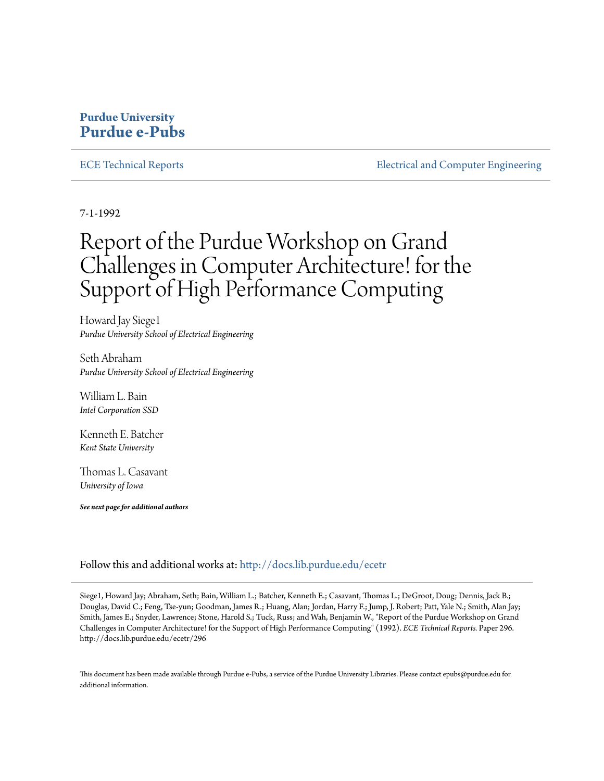## **Purdue University [Purdue e-Pubs](http://docs.lib.purdue.edu?utm_source=docs.lib.purdue.edu%2Fecetr%2F296&utm_medium=PDF&utm_campaign=PDFCoverPages)**

[ECE Technical Reports](http://docs.lib.purdue.edu/ecetr?utm_source=docs.lib.purdue.edu%2Fecetr%2F296&utm_medium=PDF&utm_campaign=PDFCoverPages) **[Electrical and Computer Engineering](http://docs.lib.purdue.edu/ece?utm_source=docs.lib.purdue.edu%2Fecetr%2F296&utm_medium=PDF&utm_campaign=PDFCoverPages)** 

7-1-1992

# Report of the Purdue Workshop on Grand Challenges in Computer Architecture! for the Support of High Performance Computing

Howard Jay Siege1 *Purdue University School of Electrical Engineering*

Seth Abraham *Purdue University School of Electrical Engineering*

William L. Bain *Intel Corporation SSD*

Kenneth E. Batcher *Kent State University*

Thomas L. Casavant *University of Iowa*

*See next page for additional authors*

Follow this and additional works at: [http://docs.lib.purdue.edu/ecetr](http://docs.lib.purdue.edu/ecetr?utm_source=docs.lib.purdue.edu%2Fecetr%2F296&utm_medium=PDF&utm_campaign=PDFCoverPages)

Siege1, Howard Jay; Abraham, Seth; Bain, William L.; Batcher, Kenneth E.; Casavant, Thomas L.; DeGroot, Doug; Dennis, Jack B.; Douglas, David C.; Feng, Tse-yun; Goodman, James R.; Huang, Alan; Jordan, Harry F.; Jump, J. Robert; Patt, Yale N.; Smith, Alan Jay; Smith, James E.; Snyder, Lawrence; Stone, Harold S.; Tuck, Russ; and Wah, Benjamin W., "Report of the Purdue Workshop on Grand Challenges in Computer Architecture! for the Support of High Performance Computing" (1992). *ECE Technical Reports.* Paper 296. http://docs.lib.purdue.edu/ecetr/296

This document has been made available through Purdue e-Pubs, a service of the Purdue University Libraries. Please contact epubs@purdue.edu for additional information.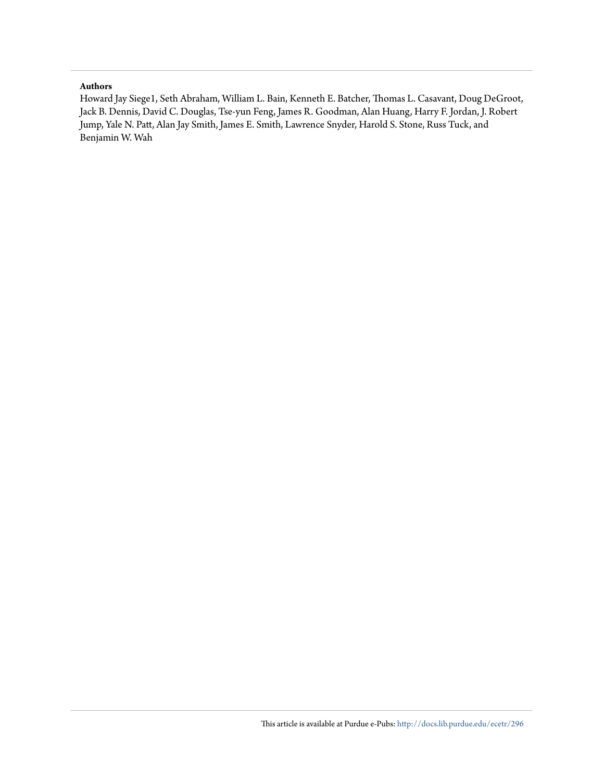#### **Authors**

Howard Jay Siege1, Seth Abraham, William L. Bain, Kenneth E. Batcher, Thomas L. Casavant, Doug DeGroot, Jack B. Dennis, David C. Douglas, Tse-yun Feng, James R. Goodman, Alan Huang, Harry F. Jordan, J. Robert Jump, Yale N. Patt, Alan Jay Smith, James E. Smith, Lawrence Snyder, Harold S. Stone, Russ Tuck, and Benjamin W. Wah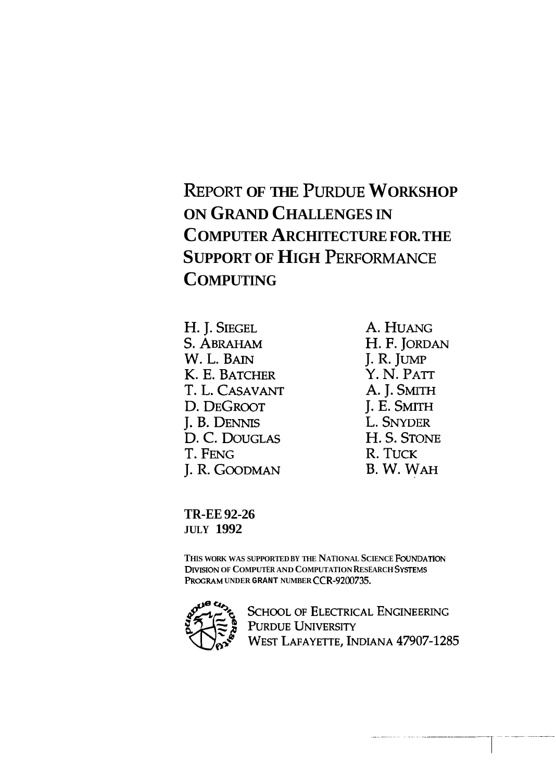# **REPORT OF THE PURDUE WORKSHOP ON GRAND CHALLENGES IN COMPUTER ARCHITECTURE FOR. THE SUPPORT OF HIGH PERFORMANCE COMPUTING**

H. J. SIEGEL S. ABRAHAM W. L. BAIN K. E. BATCHER T. L. CASAVANT D. DEGROOT J. B. DENNIS D. C. DOUGLAS T. FENG J. R. GOODMAN

A. HUANG H. F. JORDAN J. R. JUMP Y. N. PATT A. J. SMITH J. E. SMITH L. SNYDER H. S. STONE R. TUCK B. W. WAH

**TR-EE 92-26 JULY 1992** 

THIS WORK WAS SUPPORTED BY THE NATIONAL SCIENCE FOUNDATION **DIVISION OF COMPUTER AND COMPUTATION RESEARCH SYSTEMS PR~GRAM UNDER GRANT NUMBER CCR-9200735.** 



**SCHOOL OF ELECTRICAL ENGINEERING** PURDUE UNIVERSITY WEST LAFAYETTE, INDIANA 47907-1285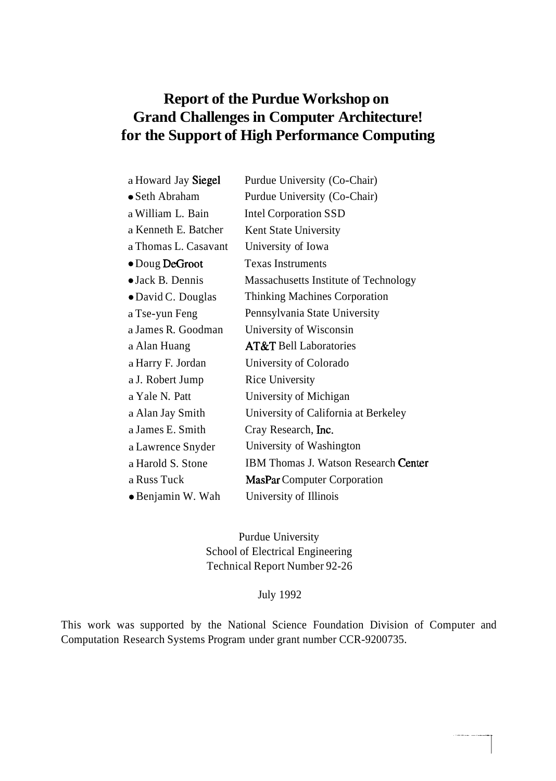## **Report of the Purdue Workshop on Grand Challenges in Computer Architecture! for the Support of High Performance Computing**

| a Howard Jay Siegel      | Purdue University (Co-Chair)                |
|--------------------------|---------------------------------------------|
| • Seth Abraham           | Purdue University (Co-Chair)                |
| a William L. Bain        | <b>Intel Corporation SSD</b>                |
| a Kenneth E. Batcher     | Kent State University                       |
| a Thomas L. Casavant     | University of Iowa                          |
| $\bullet$ Doug DeGroot   | <b>Texas Instruments</b>                    |
| $\bullet$ Jack B. Dennis | Massachusetts Institute of Technology       |
| • David C. Douglas       | Thinking Machines Corporation               |
| a Tse-yun Feng           | Pennsylvania State University               |
| a James R. Goodman       | University of Wisconsin                     |
|                          |                                             |
| a Alan Huang             | <b>AT&amp;T</b> Bell Laboratories           |
| a Harry F. Jordan        | University of Colorado                      |
| a J. Robert Jump         | <b>Rice University</b>                      |
| a Yale N. Patt           | University of Michigan                      |
| a Alan Jay Smith         | University of California at Berkeley        |
| a James E. Smith         | Cray Research, Inc.                         |
| a Lawrence Snyder        | University of Washington                    |
| a Harold S. Stone        | <b>IBM Thomas J. Watson Research Center</b> |
| a Russ Tuck              | <b>MasPar Computer Corporation</b>          |

Purdue University School of Electrical Engineering Technical Report Number 92-26

## July 1992

This work was supported by the National Science Foundation Division of Computer and Computation Research Systems Program under grant number CCR-9200735.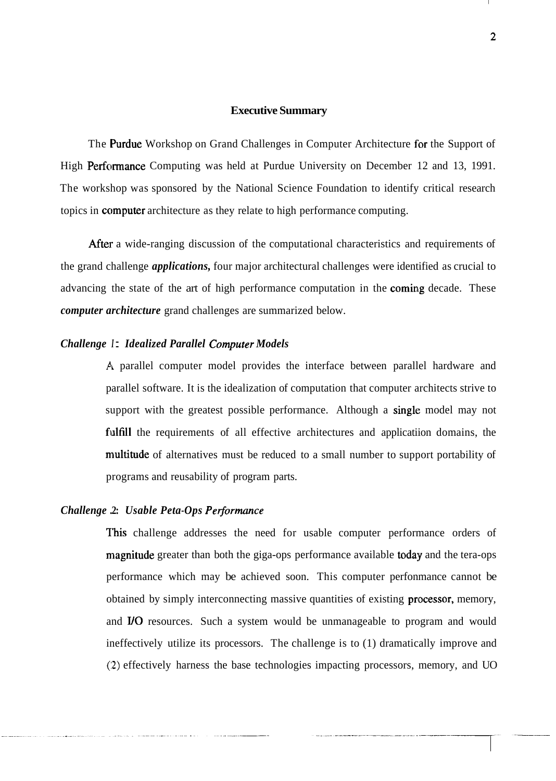#### **Executive Summary**

The **Purdue** Workshop on Grand Challenges in Computer Architecture for the Support of High Performance Computing was held at Purdue University on December 12 and 13, 1991. The workshop was sponsored by the National Science Foundation to identify critical research topics in computer architecture as they relate to high performance computing.

After a wide-ranging discussion of the computational characteristics and requirements of the grand challenge *applications,* four major architectural challenges were identified as crucial to advancing the state of the art of high performance computation in the coming decade. These *computer architecture* grand challenges are summarized below.

#### *Challenge 1: Idealized Parallel Computer Models*

A parallel computer model provides the interface between parallel hardware and parallel software. It is the idealization of computation that computer architects strive to support with the greatest possible performance. Although a single model may not fulfill the requirements of all effective architectures and applicatiion domains, the multitude of alternatives must be reduced to a small number to support portability of programs and reusability of program parts.

#### *Challenge* **.2:** *Usable Peta-Ops Peiformance*

This challenge addresses the need for usable computer performance orders of magnitude greater than both the giga-ops performance available today and the tera-ops performance which may be achieved soon. This computer perfonmance cannot be obtained by simply interconnecting massive quantities of existing **processor**, memory, and I/O resources. Such a system would be unmanageable to program and would ineffectively utilize its processors. The challenge is to (1) dramatically improve and **(:2)** effectively harness the base technologies impacting processors, memory, and UO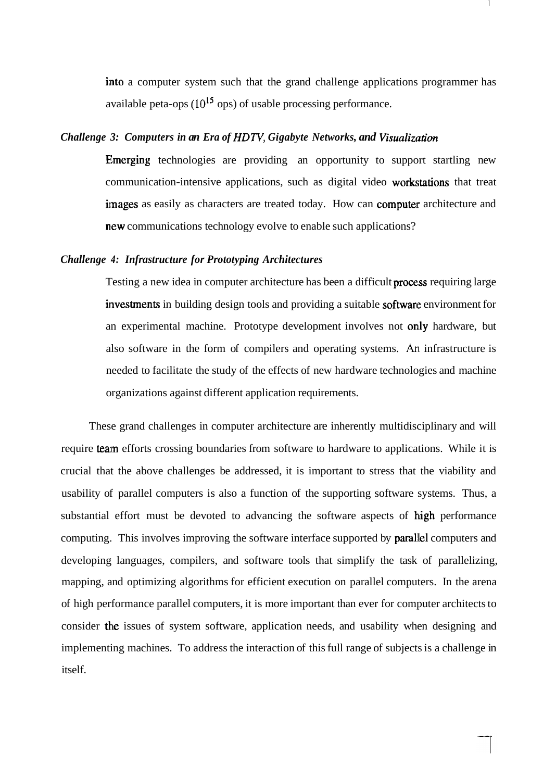into a computer system such that the grand challenge applications programmer has available peta-ops **(10"** ops) of usable processing performance.

#### *Challenge 3: Computers in an Era of HDTV, Gigabyte Networks, and Visualization*

Emerging technologies are providing an opportunity to support startling new communication-intensive applications, such as digital video workstations that treat images as easily as characters are treated today. How can computer architecture and new communications technology evolve to enable such applications?

#### *Challenge 4: Infrastructure for Prototyping Architectures*

Testing a new idea in computer architecture has been a difficult **process** requiring large investments in building design tools and providing a suitable software environment for an experimental machine. Prototype development involves not only hardware, but also software in the form of compilers and operating systems. An infrastructure is needed to facilitate the study of the effects of new hardware technologies and machine organizations against different application requirements.

These grand challenges in computer architecture are inherently multidisciplinary and will require team efforts crossing boundaries from software to hardware to applications. While it is crucial that the above challenges be addressed, it is important to stress that the viability and usability of parallel computers is also a function of the supporting software systems. Thus, a substantial effort must be devoted to advancing the software aspects of high performance computing. This involves improving the software interface supported by **parallel** computers and developing languages, compilers, and software tools that simplify the task of parallelizing, mapping, and optimizing algorithms for efficient execution on parallel computers. In the arena of high performance parallel computers, it is more important than ever for computer architects to consider the issues of system software, application needs, and usability when designing and implementing machines. To address the interaction of this full range of subjects is a challenge in itself.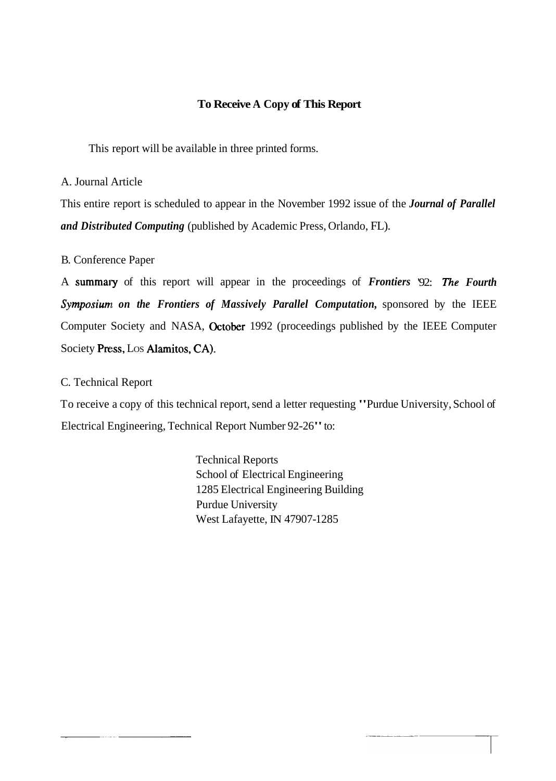## **To Receive A Copy of This Report**

This report will be available in three printed forms.

A. Journal Article

This entire report is scheduled to appear in the November 1992 issue of the *Journal of Parallel and Distributed Computing* (published by Academic Press, Orlando, FL).

## B. Conference Paper

A summaly of this report will appear in the proceedings of *Frontiers* '92: *The Fourth Symposiuml on the Frontiers of Massively Parallel Computation,* sponsored by the IEEE Computer Society and NASA, October 1992 (proceedings published by the IEEE Computer Society Press, LOS Alamitos, CA).

## C. Technical Report

To receive a copy of this technical report, send a letter requesting "Purdue University, School of Electrical Engineering, Technical Report Number 92-26" to:

> Technical Reports School of Electrical Engineering 1285 Electrical Engineering Building Purdue University West Lafayette, IN 47907-1285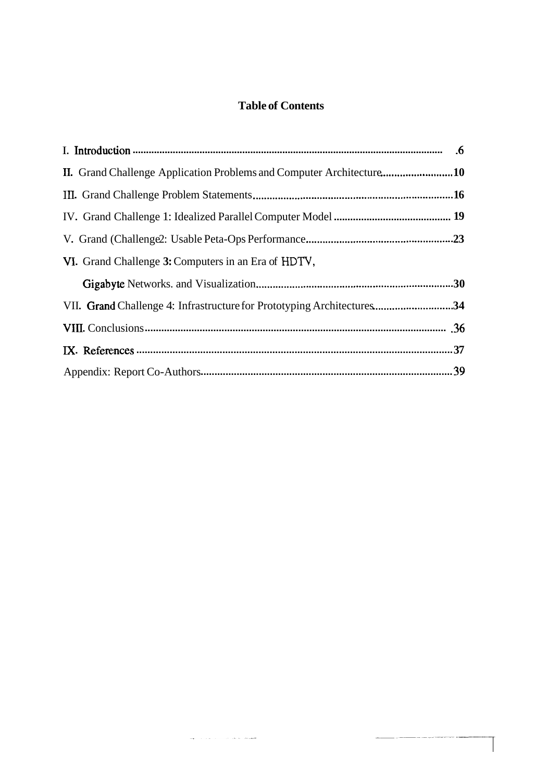## **Table of Contents**

| II. Grand Challenge Application Problems and Computer Architecture10   |  |  |
|------------------------------------------------------------------------|--|--|
|                                                                        |  |  |
|                                                                        |  |  |
|                                                                        |  |  |
| VI. Grand Challenge 3: Computers in an Era of HDTV,                    |  |  |
|                                                                        |  |  |
| VII. Grand Challenge 4: Infrastructure for Prototyping Architectures34 |  |  |
|                                                                        |  |  |
|                                                                        |  |  |
|                                                                        |  |  |

 $\label{eq:1} \omega_{\mathbf{q}}(\cdot) = \left( \begin{array}{cc} \mathbf{q} & \mathbf{q} & \mathbf{q} \\ \mathbf{q} & \mathbf{q} & \mathbf{q} \\ \mathbf{q} & \mathbf{q} & \mathbf{q} \\ \mathbf{q} & \mathbf{q} & \mathbf{q} \\ \mathbf{q} & \mathbf{q} & \mathbf{q} \\ \mathbf{q} & \mathbf{q} & \mathbf{q} \\ \mathbf{q} & \mathbf{q} & \mathbf{q} \\ \mathbf{q} & \mathbf{q} & \mathbf{q} \\ \mathbf{q} & \mathbf{q} & \mathbf{q} \\ \$ 

 $\overline{\phantom{a}}$ 

----------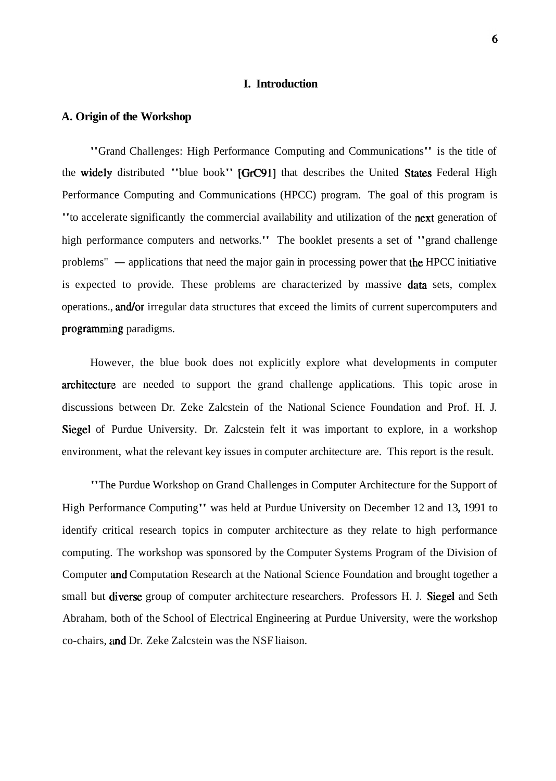#### **I. Introduction**

#### **A. Origin of the Workshop**

"Grand Challenges: High Performance Computing and Communications" is the title of the widely distributed "blue book" [GrC91] that describes the United States Federal High Performance Computing and Communications (HPCC) program. The goal of this program is "to accelerate significantly the commercial availability and utilization of the next generation of high performance computers and networks." The booklet presents a set of "grand challenge<br>problems" — applications that need the major gain in processing power that the HPCC initiative is expected to provide. These problems are characterized by massive data sets, complex operations., and/or irregular data structures that exceed the limits of current supercomputers and programming paradigms.

However, the blue book does not explicitly explore what developments in computer architecture are needed to support the grand challenge applications. This topic arose in discussions between Dr. Zeke Zalcstein of the National Science Foundation and Prof. H. J. Siegel of Purdue University. Dr. Zalcstein felt it was important to explore, in a workshop environment, what the relevant key issues in computer architecture are. This report is the result.

"The Purdue Workshop on Grand Challenges in Computer Architecture for the Support of High Performance Computing" was held at Purdue University on December 12 and 13, 1991 to identify critical research topics in computer architecture as they relate to high performance computing. The workshop was sponsored by the Computer Systems Program of the Division of Computer and Computation Research at the National Science Foundation and brought together a small but diverse group of computer architecture researchers. Professors H. J. Siegel and Seth Abraham, both of the School of Electrical Engineering at Purdue University, were the workshop co-chairs, and Dr. Zeke Zalcstein was the NSF liaison.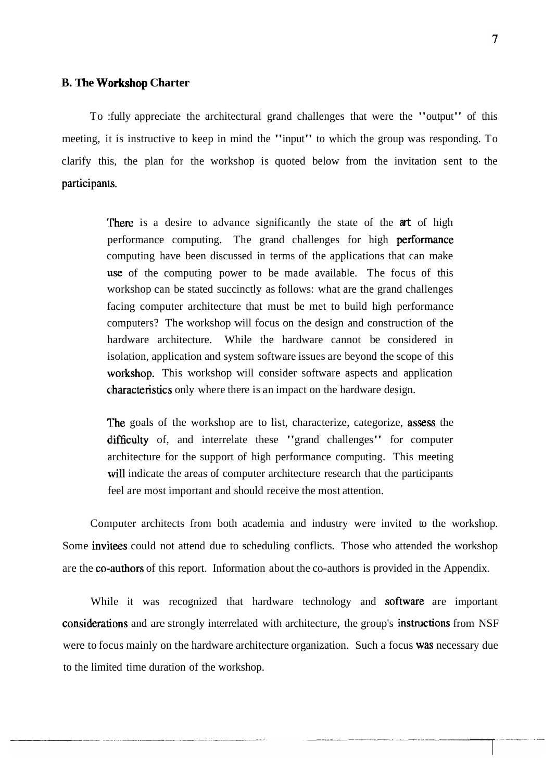#### **B. The Workshop Charter**

To :fully appreciate the architectural grand challenges that were the "output" of this meeting, it is instructive to keep in mind the "input" to which the group was responding. To clarify this, the plan for the workshop is quoted below from the invitation sent to the participants.

> 'There is a desire to advance significantly the state of the **art** of high performance computing. The grand challenges for high **performance** computing have been discussed in terms of the applications that can make use of the computing power to be made available. The focus of this workshop can be stated succinctly as follows: what are the grand challenges facing computer architecture that must be met to build high performance computers? The workshop will focus on the design and construction of the hardware architecture. While the hardware cannot be considered in isolation, application and system software issues are beyond the scope of this workshop. This workshop will consider software aspects and application characteristics only where there is an impact on the hardware design.

> The goals of the workshop are to list, characterize, categorize, **assess** the clifficulty of, and interrelate these "grand challenges" for computer architecture for the support of high performance computing. This meeting will indicate the areas of computer architecture research that the participants feel are most important and should receive the most attention.

Computer architects from both academia and industry were invited to the workshop. Some invitees could not attend due to scheduling conflicts. Those who attended the workshop are the co-authors of this report. Information about the co-authors is provided in the Appendix.

While it was recognized that hardware technology and software are important considerations and are strongly interrelated with architecture, the group's instructions from NSF were to focus mainly on the hardware architecture organization. Such a focus was necessary due to the limited time duration of the workshop.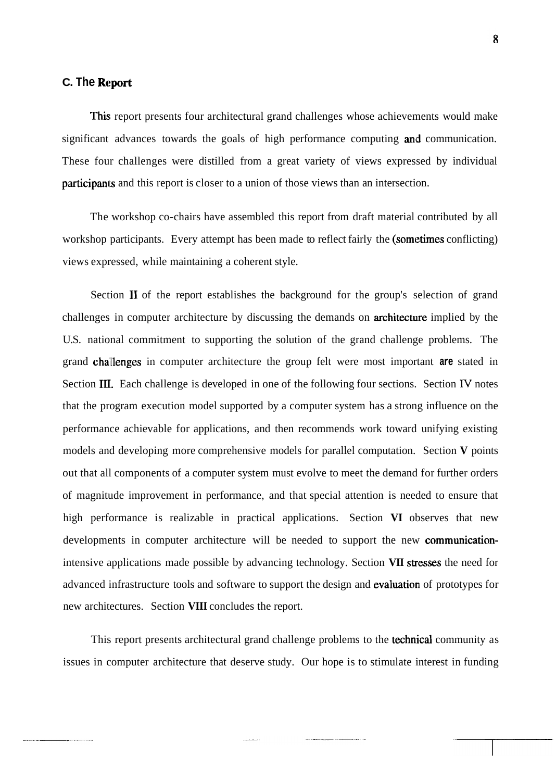#### **C. The Report**

This report presents four architectural grand challenges whose achievements would make significant advances towards the goals of high performance computing and communication. These four challenges were distilled from a great variety of views expressed by individual participanls and this report is closer to a union of those views than an intersection.

The workshop co-chairs have assembled this report from draft material contributed by all workshop participants. Every attempt has been made to reflect fairly the (sometimes conflicting) views expressed, while maintaining a coherent style.

Section **I1** of the report establishes the background for the group's selection of grand challenges in computer architecture by discussing the demands on **architecture** implied by the U.S. national commitment to supporting the solution of the grand challenge problems. The grand challlenges in computer architecture the group felt were most important **are** stated in Section **111.** Each challenge is developed in one of the following four sections. Section **IV** notes that the program execution model supported by a computer system has a strong influence on the performance achievable for applications, and then recommends work toward unifying existing models and developing more comprehensive models for parallel computation. Section **V** points out that all components of a computer system must evolve to meet the demand for further orders of magnitude improvement in performance, and that special attention is needed to ensure that high performance is realizable in practical applications. Section **VI** observes that new developments in computer architecture will be needed to support the new communicationintensive applications made possible by advancing technology. Section VII stresses the need for advanced infrastructure tools and software to support the design and evaluation of prototypes for new architectures. Section **VIII** concludes the report.

This report presents architectural grand challenge problems to the **technical** community as issues in computer architecture that deserve study. Our hope is to stimulate interest in funding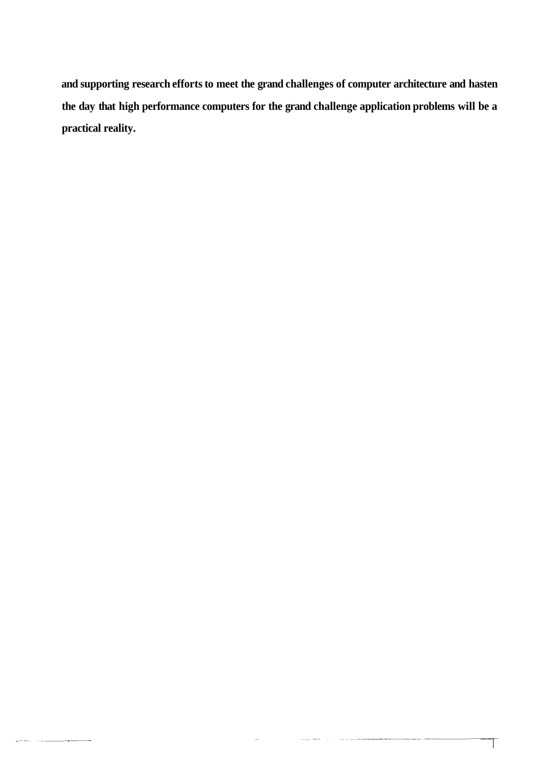**and supporting research efforts to meet the grand challenges of computer architecture and hasten the day that high performance computers for the grand challenge application problems will be a practical reality.** 

 $\overline{\phantom{a}}$ 

 $\label{eq:reduced} \frac{1}{2} \left( \frac{1}{2} \left( \frac{1}{2} \frac{1}{2} \left( \frac{1}{2} \frac{1}{2} \frac{1}{2} \frac{1}{2} \frac{1}{2} \frac{1}{2} \frac{1}{2} \frac{1}{2} \frac{1}{2} \frac{1}{2} \frac{1}{2} \frac{1}{2} \frac{1}{2} \frac{1}{2} \frac{1}{2} \frac{1}{2} \frac{1}{2} \frac{1}{2} \frac{1}{2} \frac{1}{2} \frac{1}{2} \frac{1}{2} \frac{1}{2} \frac{1}{2} \frac{1}{2}$ 

 $\label{eq:1} \begin{aligned} \text{where} \quad \mathcal{L}_{\text{max}}(\mathcal{L}_{\text{max}}) = \mathcal{L}_{\text{max}}(\mathcal{L}_{\text{max}}) \end{aligned}$ 

.<br>Martxo de Martxo de Ale

 $\top$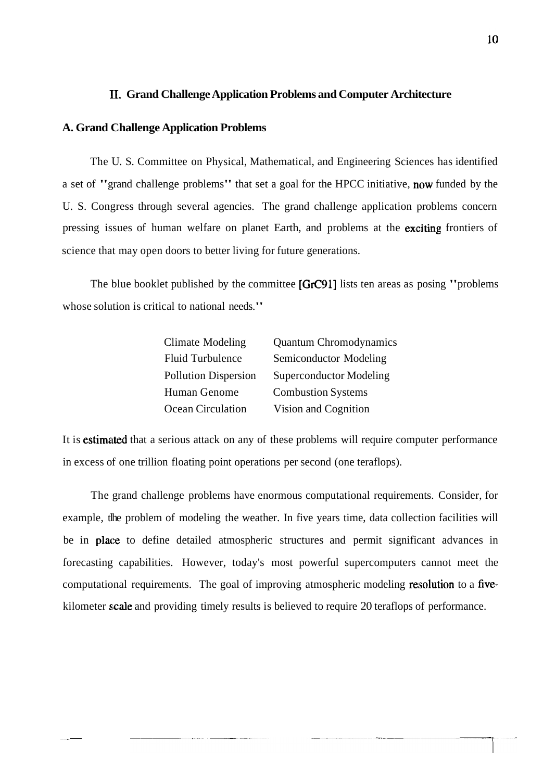#### **11. Grand Challenge Application Problems and Computer Architecture**

#### **A. Grand Challenge Application Problems**

The U. S. Committee on Physical, Mathematical, and Engineering Sciences has identified a set of "grand challenge problems" that set a goal for the HPCC initiative, now funded by the U. S. Congress through several agencies. The grand challenge application problems concern pressing issues of human welfare on planet Earth, and problems at the exciting frontiers of science that may open doors to better living for future generations.

The blue booklet published by the committee [GrC91] lists ten areas as posing "problems" whose solution is critical to national needs."

| Climate Modeling            | <b>Quantum Chromodynamics</b>  |
|-----------------------------|--------------------------------|
| <b>Fluid Turbulence</b>     | Semiconductor Modeling         |
| <b>Pollution Dispersion</b> | <b>Superconductor Modeling</b> |
| Human Genome                | <b>Combustion Systems</b>      |
| Ocean Circulation           | Vision and Cognition           |

It is estimated that a serious attack on any of these problems will require computer performance in excess of one trillion floating point operations per second (one teraflops).

The grand challenge problems have enormous computational requirements. Consider, for example, tlhe problem of modeling the weather. In five years time, data collection facilities will be in place to define detailed atmospheric structures and permit significant advances in forecasting capabilities. However, today's most powerful supercomputers cannot meet the computational requirements. The goal of improving atmospheric modeling resolution to a fivekilometer scale and providing timely results is believed to require 20 teraflops of performance.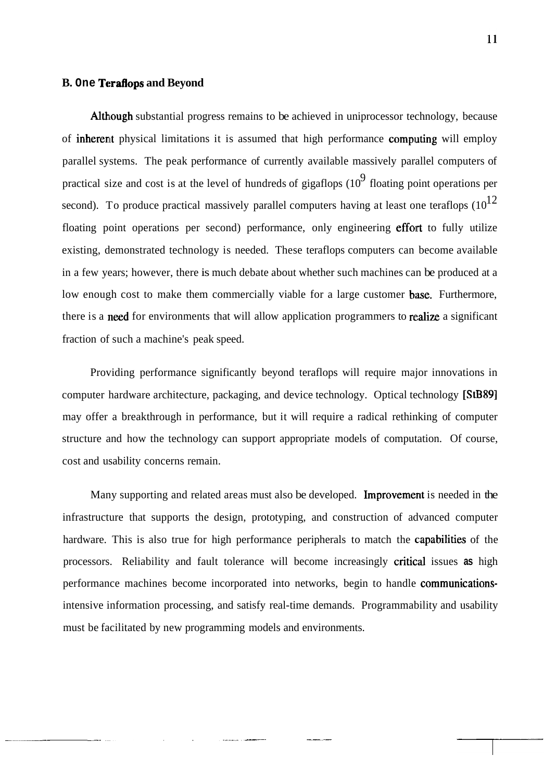#### **B. One Teraflops and Beyond**

Although substantial progress remains to be achieved in uniprocessor technology, because of inherent physical limitations it is assumed that high performance computing will employ parallel systems. The peak performance of currently available massively parallel computers of practical size and cost is at the level of hundreds of gigaflops  $(10^9)$  floating point operations per second). To produce practical massively parallel computers having at least one teraflops  $(10^{12})$ floating point operations per second) performance, only engineering effort to fully utilize existing, demonstrated technology is needed. These teraflops computers can become available in a few years; however, there is much debate about whether such machines can be produced at a low enough cost to make them commercially viable for a large customer base. Furthermore, there is a need for environments that will allow application programmers to realize a significant fraction of such a machine's peak speed.

Providing performance significantly beyond teraflops will require major innovations in computer hardware architecture, packaging, and device technology. Optical technology [StB89] may offer a breakthrough in performance, but it will require a radical rethinking of computer structure and how the technology can support appropriate models of computation. Of course, cost and usability concerns remain.

Many supporting and related areas must also be developed. Improvement is needed in the infrastructure that supports the design, prototyping, and construction of advanced computer hardware. This is also true for high performance peripherals to match the **capabilities** of the processors. Reliability and fault tolerance will become increasingly critical issues as high performance machines become incorporated into networks, begin to handle communicationsintensive information processing, and satisfy real-time demands. Programmability and usability must be facilitated by new programming models and environments.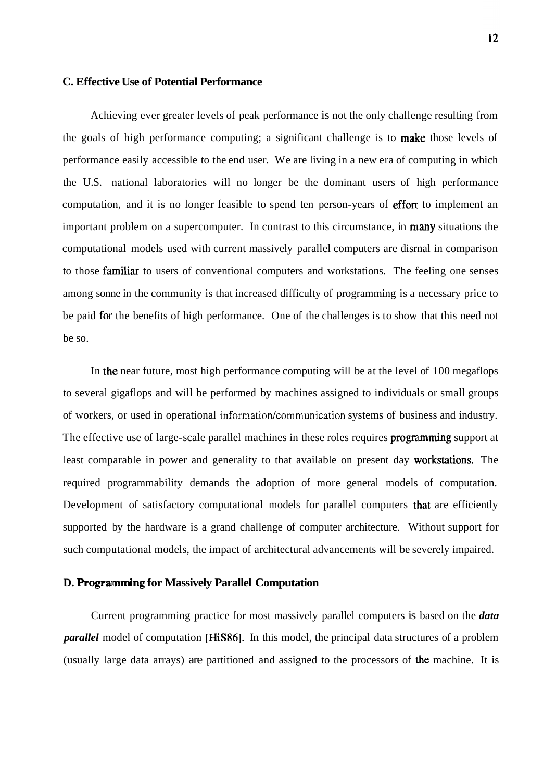#### **C. Effective Use of Potential Performance**

Achieving ever greater levels of peak performance is not the only challenge resulting from the goals of high performance computing; a significant challenge is to **make** those levels of performance easily accessible to the end user. We are living in a new era of computing in which the U.S. national laboratories will no longer be the dominant users of high performance computation, and it is no longer feasible to spend ten person-years of effort to implement an important problem on a supercomputer. In contrast to this circumstance, in **many** situations the computational models used with current massively parallel computers are disrnal in comparison to those **familiar** to users of conventional computers and workstations. The feeling one senses among sonne in the community is that increased difficulty of programming is a necessary price to be paid for the benefits of high performance. One of the challenges is to show that this need not be so.

In the near future, most high performance computing will be at the level of  $100$  megaflops to several gigaflops and will be performed by machines assigned to individuals or small groups of workers, or used in operational information/communication systems of business and industry. The effective use of large-scale parallel machines in these roles requires programming support at least comparable in power and generality to that available on present day workstations. The required programmability demands the adoption of more general models of computation. Development of satisfactory computational models for parallel computers that are efficiently supported by the hardware is a grand challenge of computer architecture. Without support for such computational models, the impact of architectural advancements will be severely impaired.

#### **D. Programming for Massively Parallel Computation**

Current programming practice for most massively parallel computers is based on the *data parallel* model of computation [HiS86]. In this model, the principal data structures of a problem (usually large data arrays) are partitioned and assigned to the processors of the machine. It is

12

 $\mathcal{L}$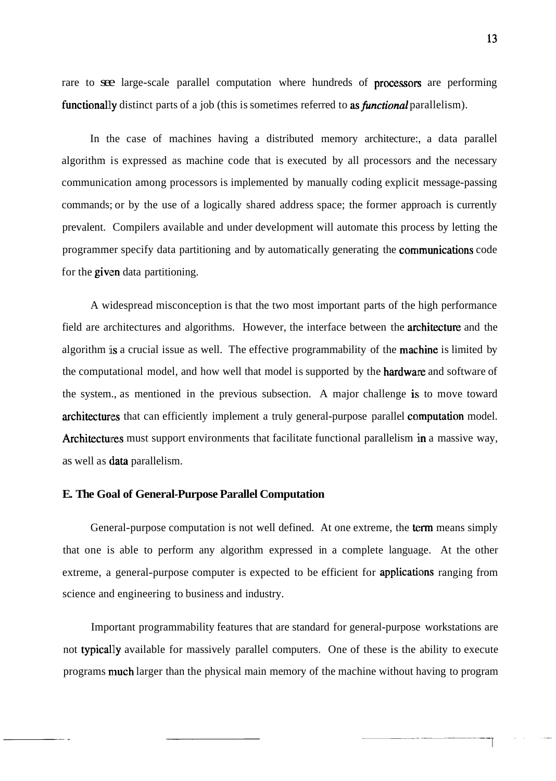13

rare to see large-scale parallel computation where hundreds of **processors** are performing functionally distinct parts of a job (this is sometimes referred to as *functional* parallelism).

In the case of machines having a distributed memory architecture:, a data parallel algorithm is expressed as machine code that is executed by all processors and the necessary communication among processors is implemented by manually coding explicit message-passing commands; or by the use of a logically shared address space; the former approach is currently prevalent. Compilers available and under development will automate this process by letting the programmer specify data partitioning and by automatically generating the **communications** code for the given data partitioning.

A widespread misconception is that the two most important parts of the high performance field are architectures and algorithms. However, the interface between the **architecture** and the algorithm is a crucial issue as well. The effective programmability of the **machine** is limited by the computational model, and how well that model is supported by the **hardware** and software of the system., as mentioned in the previous subsection. A major challenge is to move toward architectures that can efficiently implement a truly general-purpose parallel computation model. Architectures must support environments that facilitate functional parallelism in a massive way, as well as data parallelism.

## **E. The Goal of General-Purpose Parallel Computation**

General-purpose computation is not well defined. At one extreme, the term means simply that one is able to perform any algorithm expressed in a complete language. At the other extreme, a general-purpose computer is expected to be efficient for **applications** ranging from science and engineering to business and industry.

Important programmability features that are standard for general-purpose workstations are not typically available for massively parallel computers. One of these is the ability to execute programs much larger than the physical main memory of the machine without having to program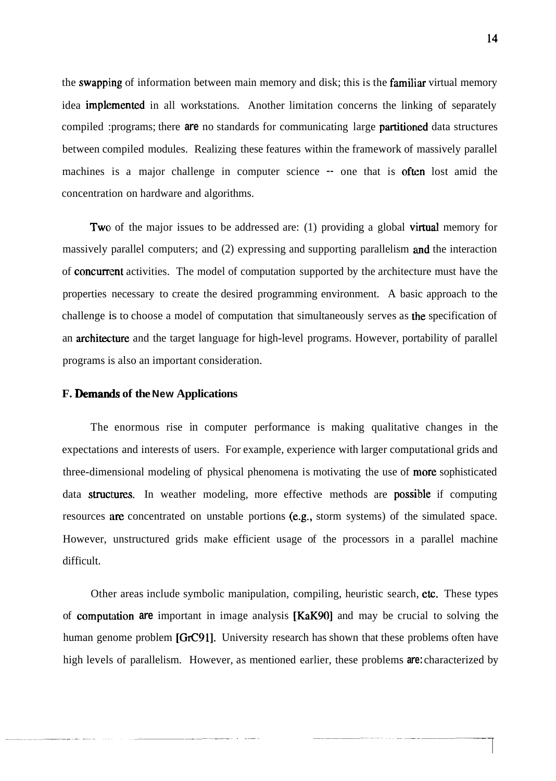the swapping of information between main memory and disk; this is the familiar virtual memory idea **implemented** in all workstations. Another limitation concerns the linking of separately compiled :programs; there are no standards for communicating large partitioned data structures between compiled modules. Realizing these features within the framework of massively parallel machines is a major challenge in computer science -- one that is often lost amid the concentration on hardware and algorithms.

Two of the major issues to be addressed are: (1) providing a global **virtual** memory for massively parallel computers; and (2) expressing and supporting parallelism and the interaction of **concurrent** activities. The model of computation supported by the architecture must have the properties necessary to create the desired programming environment. A basic approach to the challenge is to choose a model of computation that simultaneously serves as the specification of an architecture and the target language for high-level programs. However, portability of parallel programs is also an important consideration.

#### **F. Demands of the New Applications**

The enormous rise in computer performance is making qualitative changes in the expectations and interests of users. For example, experience with larger computational grids and three-dimensional modeling of physical phenomena is motivating the use of more sophisticated data structures. In weather modeling, more effective methods are possible if computing resources are concentrated on unstable portions (e.g., storm systems) of the simulated space. However, unstructured grids make efficient usage of the processors in a parallel machine difficult.

Other areas include symbolic manipulation, compiling, heuristic search, etc. These types of **computation are** important in image analysis [KaK90] and may be crucial to solving the human genome problem [GrC91]. University research has shown that these problems often have high levels of parallelism. However, as mentioned earlier, these problems **are:** characterized by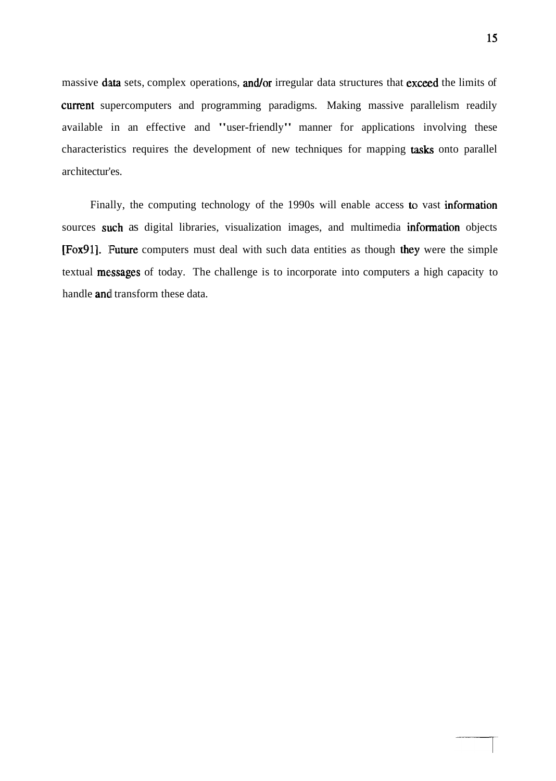massive data sets, complex operations, and/or irregular data structures that exceed the limits of current supercomputers and programming paradigms. Making massive parallelism readily available in an effective and "user-friendly" manner for applications involving these characteristics requires the development of new techniques for mapping **tasks** onto parallel arc hitectur'es.

Finally, the computing technology of the 1990s will enable access to vast information sources such as digital libraries, visualization images, and multimedia information objects [Fox91]. Future computers must deal with such data entities as though they were the simple textual messages of today. The challenge is to incorporate into computers a high capacity to handle **and** transform these data.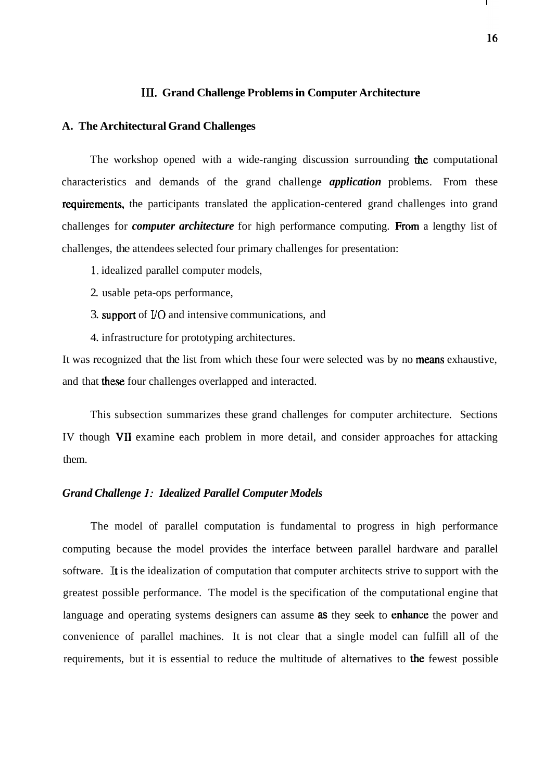#### **111. Grand Challenge Problems in Computer Architecture**

#### **A. The Architectural Grand Challenges**

The workshop opened with a wide-ranging discussion surrounding the computational characteristics and demands of the grand challenge *application* problems. From these requirements, the participants translated the application-centered grand challenges into grand challenges for *computer architecture* for high performance computing. Froni a lengthy list of challenges, the attendees selected four primary challenges for presentation:

- 1. idealized parallel computer models,
- 2. usable peta-ops performance,
- 3. support of I/O and intensive communications, and
- 4. infrastructure for prototyping architectures.

It was recognized that the list from which these four were selected was by no means exhaustive, and that these four challenges overlapped and interacted.

This subsection summarizes these grand challenges for computer architecture. Sections IV though VII examine each problem in more detail, and consider approaches for attacking them.

#### *Grand Challenge I: Idealized Parallel Computer Models*

The model of parallel computation is fundamental to progress in high performance computing because the model provides the interface between parallel hardware and parallel software. It is the idealization of computation that computer architects strive to support with the greatest possible performance. The model is the specification of the computational engine that language and operating systems designers can assume **as** they seek to enhance the power and convenience of parallel machines. It is not clear that a single model can fulfill all of the requirements, but it is essential to reduce the multitude of alternatives to the fewest possible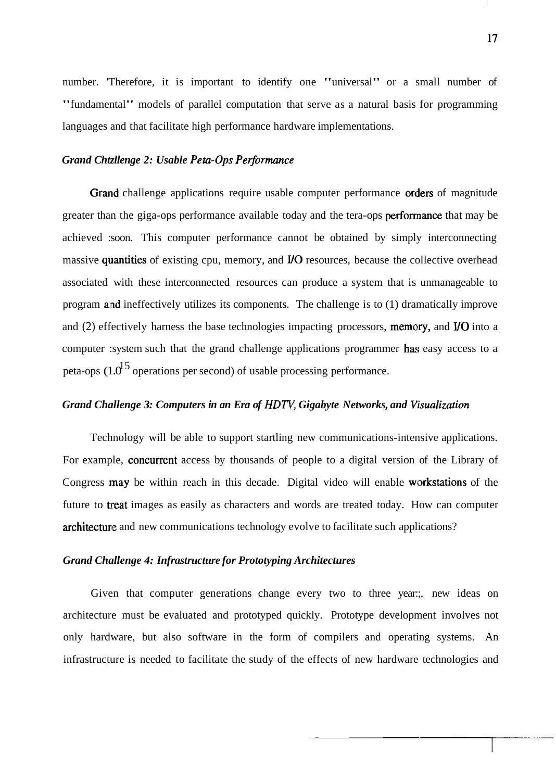number. 'Therefore, it is important to identify one "universal" or a small number of "fundamental" models of parallel computation that serve as a natural basis for programming languages and that facilitate high performance hardware implementations.

#### Grand Chtzllenge 2: Usable Peta-Ops Performance

Grand challenge applications require usable computer performance orders of magnitude greater than the giga-ops performance available today and the tera-ops perforrnance that may be achieved :soon. This computer performance cannot be obtained by simply interconnecting massive quantities of existing cpu, memory, and I/O resources, because the collective overhead associated with these interconnected resources can produce a system that is unmanageable to program and ineffectively utilizes its components. The challenge is to (1) dramatically improve and (2) effectively harness the base technologies impacting processors, memory, and I/O into a computer :system such that the grand challenge applications programmer has easy access to a peta-ops  $(1.0^{15}$  operations per second) of usable processing performance.

#### *Grand Challenge 3: Computers in an Era of HDTV, Gigabyte Networks, and Visualization*

Technology will be able to support startling new communications-intensive applications. For example, concurrent access by thousands of people to a digital version of the Library of Congress may be within reach in this decade. Digital video will enable workstations of the future to **treat** images as easily as characters and words are treated today. How can computer architecture and new communications technology evolve to facilitate such applications?

#### *Grand Challenge 4: Infrastructure for Prototyping Architectures*

Given that computer generations change every two to three year:, new ideas on architecture must be evaluated and prototyped quickly. Prototype development involves not only hardware, but also software in the form of compilers and operating systems. An infrastructure is needed to facilitate the study of the effects of new hardware technologies and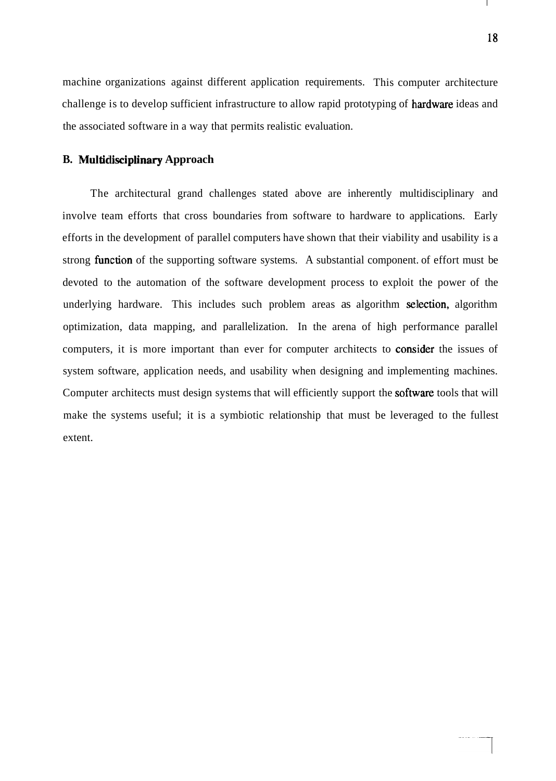machine organizations against different application requirements. This computer architecture challenge is to develop sufficient infrastructure to allow rapid prototyping of hardware ideas and the associated software in a way that permits realistic evaluation.

#### **B. Multidlisciplinary Approach**

The architectural grand challenges stated above are inherently multidisciplinary and involve team efforts that cross boundaries from software to hardware to applications. Early efforts in the development of parallel computers have shown that their viability and usability is a strong function of the supporting software systems. A substantial component of effort must be devoted to the automation of the software development process to exploit the power of the underlying hardware. This includes such problem areas as algorithm selection, algorithm optimization, data mapping, and parallelization. In the arena of high performance parallel computers, it is more important than ever for computer architects to consider the issues of system software, application needs, and usability when designing and implementing machines. Computer architects must design systems that will efficiently support the **software** tools that will make the systems useful; it is a symbiotic relationship that must be leveraged to the fullest extent.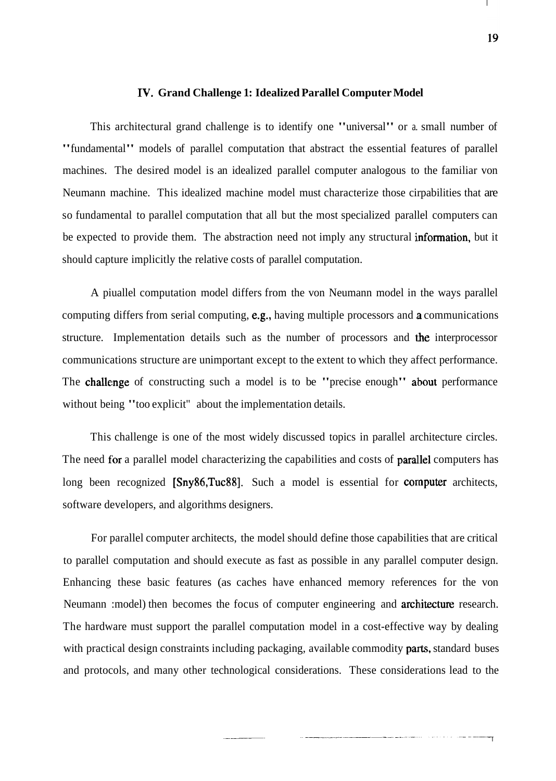#### **IV. Grand Challenge 1: Idealized Parallel Computer Model**

This architectural grand challenge is to identify one "universal" or a. small number of "fundamental" models of parallel computation that abstract the essential features of parallel machines. The desired model is an idealized parallel computer analogous to the familiar von Neumann machine. This idealized machine model must characterize those cirpabilities that are so fundamental to parallel computation that all but the most specialized parallel computers can be expected to provide them. The abstraction need not imply any structural information, but it should capture implicitly the relative costs of parallel computation.

A piuallel computation model differs from the von Neumann model in the ways parallel computing differs from serial computing,  $e.g.,$  having multiple processors and a communications structure. Implementation details such as the number of processors and the interprocessor communications structure are unimportant except to the extent to which they affect performance. The challenge of constructing such a model is to be "precise enough" about performance without being "too explicit" about the implementation details.

This challenge is one of the most widely discussed topics in parallel architecture circles. The need for a parallel model characterizing the capabilities and costs of **parallel** computers has long been recognized [Sny86,Tuc88]. Such a model is essential for computer architects, software developers, and algorithms designers.

For parallel computer architects, the model should define those capabilities that are critical to parallel computation and should execute as fast as possible in any parallel computer design. Enhancing these basic features (as caches have enhanced memory references for the von Neumann :model) then becomes the focus of computer engineering and **architecture** research. The hardware must support the parallel computation model in a cost-effective way by dealing with practical design constraints including packaging, available commodity **parts**, standard buses and protocols, and many other technological considerations. These considerations lead to the

 $\mathbf{L}$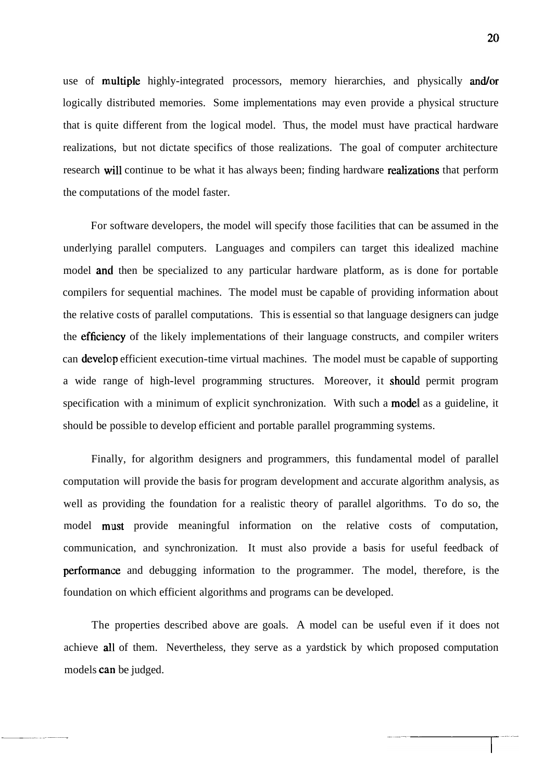use of multiple highly-integrated processors, memory hierarchies, and physically and/or logically distributed memories. Some implementations may even provide a physical structure that is quite different from the logical model. Thus, the model must have practical hardware realizations, but not dictate specifics of those realizations. The goal of computer architecture research will continue to be what it has always been; finding hardware realizations that perform the computations of the model faster.

For software developers, the model will specify those facilities that can be assumed in the underlying parallel computers. Languages and compilers can target this idealized machine model and then be specialized to any particular hardware platform, as is done for portable compilers for sequential machines. The model must be capable of providing information about the relative costs of parallel computations. This is essential so that language designers can judge the efficiency of the likely implementations of their language constructs, and compiler writers can develop efficient execution-time virtual machines. The model must be capable of supporting a wide range of high-level programming structures. Moreover, it should permit program specification with a minimum of explicit synchronization. With such a model as a guideline, it should be possible to develop efficient and portable parallel programming systems.

Finally, for algorithm designers and programmers, this fundamental model of parallel computation will provide the basis for program development and accurate algorithm analysis, as well as providing the foundation for a realistic theory of parallel algorithms. To do so, the model must provide meaningful information on the relative costs of computation, communication, and synchronization. It must also provide a basis for useful feedback of performance and debugging information to the programmer. The model, therefore, is the foundation on which efficient algorithms and programs can be developed.

The properties described above are goals. A model can be useful even if it does not achieve all of them. Nevertheless, they serve as a yardstick by which proposed computation models can be judged.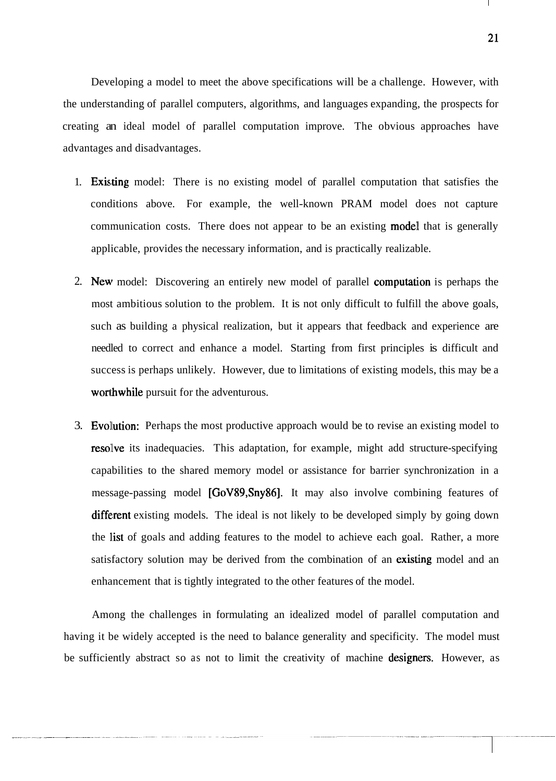21

 $\mathbf{I}$ 

Developing a model to meet the above specifications will be a challenge. However, with the understanding of parallel computers, algorithms, and languages expanding, the prospects for creating an ideal model of parallel computation improve. The obvious approaches have advantages and disadvantages.

- 1. Existing model: There is no existing model of parallel computation that satisfies the conditions above. For example, the well-known PRAM model does not capture communication costs. There does not appear to be an existing **model** that is generally applicable, provides the necessary information, and is practically realizable.
- 2. New model: Discovering an entirely new model of parallel computation is perhaps the most ambitious solution to the problem. It is not only difficult to fulfill the above goals, such as building a physical realization, but it appears that feedback and experience are needled to correct and enhance a model. Starting from first principles is difficult and success is perhaps unlikely. However, due to limitations of existing models, this may be a worthwhile pursuit for the adventurous.
- 3. Evollution: Perhaps the most productive approach would be to revise an existing model to resolve its inadequacies. This adaptation, for example, might add structure-specifying capabilities to the shared memory model or assistance for barrier synchronization in a message-passing model [GoV89,Sny86]. It may also involve combining features of different existing models. The ideal is not likely to be developed simply by going down the list of goals and adding features to the model to achieve each goal. Rather, a more satisfactory solution may be derived from the combination of an existing model and an enhancement that is tightly integrated to the other features of the model.

Among the challenges in formulating an idealized model of parallel computation and having it be widely accepted is the need to balance generality and specificity. The model must be sufficiently abstract so as not to limit the creativity of machine designers. However, as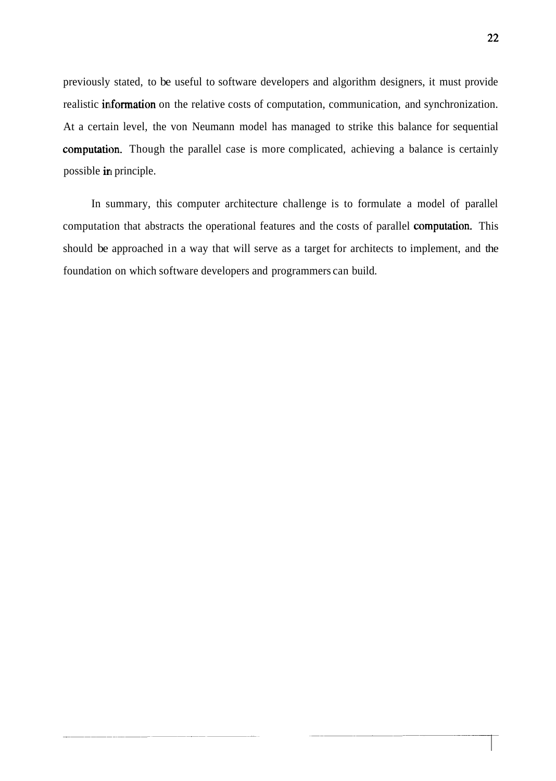previously stated, to be useful to software developers and algorithm designers, it must provide realistic information on the relative costs of computation, communication, and synchronization. At a certain level, the von Neumann model has managed to strike this balance for sequential computation. Though the parallel case is more complicated, achieving a balance is certainly possible in principle.

In summary, this computer architecture challenge is to formulate a model of parallel computation that abstracts the operational features and the costs of parallel **computation**. This should be approached in a way that will serve as a target for architects to implement, and the foundation on which software developers and programmers can build.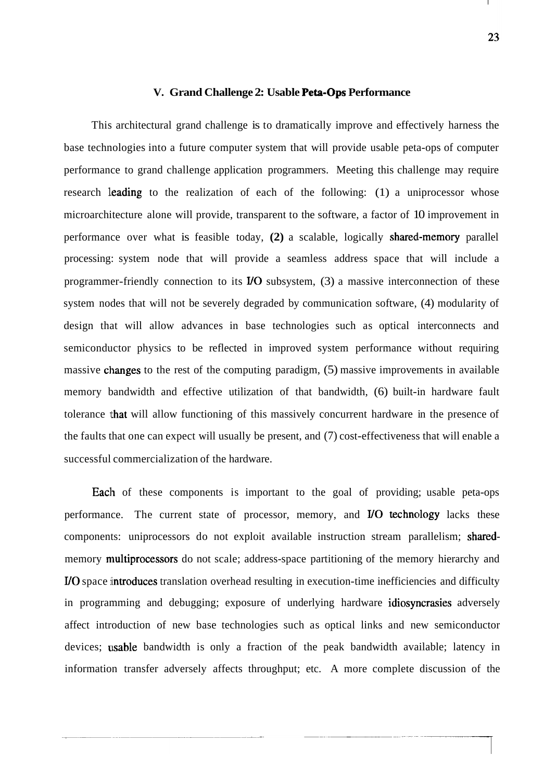#### **V. Grand Challenge 2: Usable Peta-Ops Performance**

This architectural grand challenge is to dramatically improve and effectively harness the base technologies into a future computer system that will provide usable peta-ops of computer performance to grand challenge application programmers. Meeting this challenge may require research leading to the realization of each of the following: (1) a uniprocessor whose microarchitecture alone will provide, transparent to the software, a factor of 10 improvement in performance over what is feasible today,  $(2)$  a scalable, logically **shared-memory** parallel processing: system node that will provide a seamless address space that will include a programmer-friendly connection to its  *subsystem, (3) a massive interconnection of these* system nodes that will not be severely degraded by communication software, (4) modularity of design that will allow advances in base technologies such as optical interconnects and semiconductor physics to be reflected in improved system performance without requiring massive changes to the rest of the computing paradigm,  $(5)$  massive improvements in available memory bandwidth and effective utilization of that bandwidth, (6) built-in hardware fault tolerance that will allow functioning of this massively concurrent hardware in the presence of the faults that one can expect will usually be present, and (7) cost-effectiveness that will enable a successful commercialization of the hardware.

Each of these components is important to the goal of providing; usable peta-ops performance. The current state of processor, memory, and  *technology lacks these* components: uniprocessors do not exploit available instruction stream parallelism; sharedmemory **multiprocessors** do not scale; address-space partitioning of the memory hierarchy and I/O space introduces translation overhead resulting in execution-time inefficiencies and difficulty in programming and debugging; exposure of underlying hardware idiosyncrasies adversely affect introduction of new base technologies such as optical links and new semiconductor devices; usable bandwidth is only a fraction of the peak bandwidth available; latency in information transfer adversely affects throughput; etc. A more complete discussion of the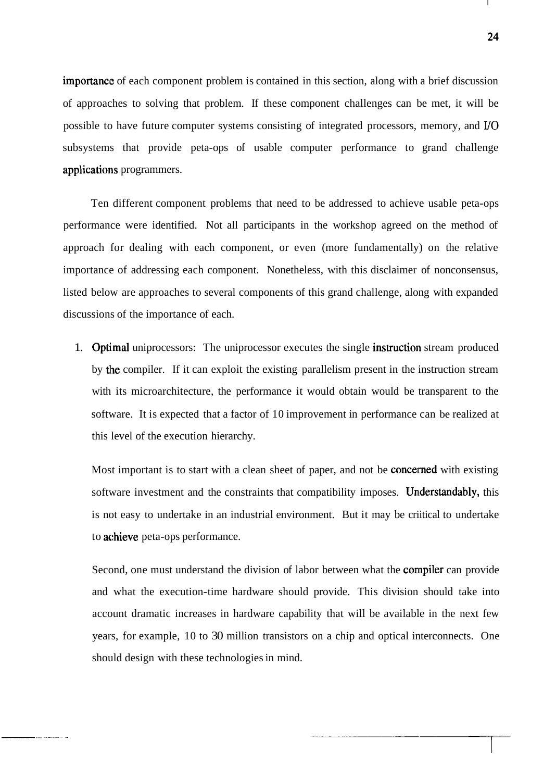importance of each component problem is contained in this section, along with a brief discussion of approaches to solving that problem. If these component challenges can be met, it will be possible to have future computer systems consisting of integrated processors, memory, and **I/O**  subsystems that provide peta-ops of usable computer performance to grand challenge applications programmers.

Ten different component problems that need to be addressed to achieve usable peta-ops performance were identified. Not all participants in the workshop agreed on the method of approach for dealing with each component, or even (more fundamentally) on the relative importance of addressing each component. Nonetheless, with this disclaimer of nonconsensus, listed below are approaches to several components of this grand challenge, along with expanded discussions of the importance of each.

1. **Optimal** uniprocessors: The uniprocessor executes the single **instruction** stream produced by the compiler. If it can exploit the existing parallelism present in the instruction stream with its microarchitecture, the performance it would obtain would be transparent to the software. It is expected that a factor of 10 improvement in performance can be realized at this level of the execution hierarchy.

Most important is to start with a clean sheet of paper, and not be **concerned** with existing software investment and the constraints that compatibility imposes. Understandably, this is not easy to undertake in an industrial environment. But it may be criitical to undertake to achieve peta-ops performance.

Second, one must understand the division of labor between what the compiler can provide and what the execution-time hardware should provide. This division should take into account dramatic increases in hardware capability that will be available in the next few years, for example, 10 to 30 million transistors on a chip and optical interconnects. One should design with these technologies in mind.

24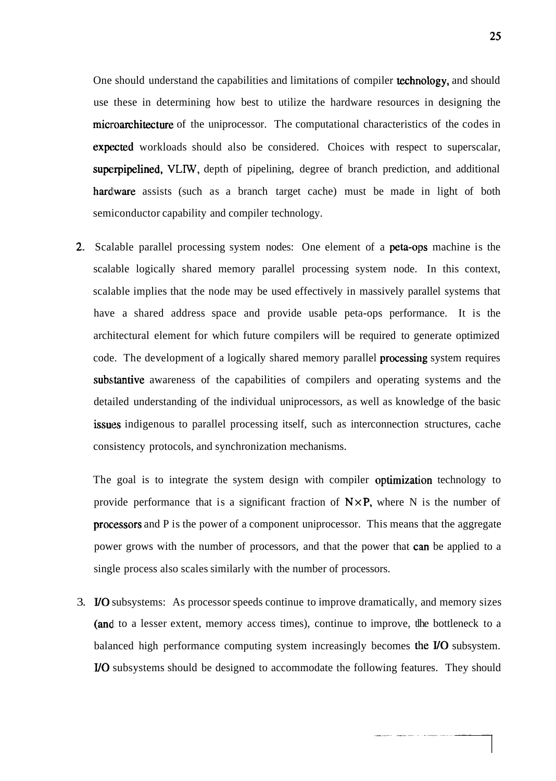One should understand the capabilities and limitations of compiler technology, and should use these in determining how best to utilize the hardware resources in designing the microarchitecture of the uniprocessor. The computational characteristics of the codes in expected workloads should also be considered. Choices with respect to superscalar, superpipelined, **VLIW,** depth of pipelining, degree of branch prediction, and additional hardware assists (such as a branch target cache) must be made in light of both semiconductor capability and compiler technology.

2. Scalable parallel processing system nodes: One element of a **peta-ops** machine is the scalable logically shared memory parallel processing system node. In this context, scalable implies that the node may be used effectively in massively parallel systems that have a shared address space and provide usable peta-ops performance. It is the architectural element for which future compilers will be required to generate optimized code. The development of a logically shared memory parallel **processing** system requires substantive awareness of the capabilities of compilers and operating systems and the detailed understanding of the individual uniprocessors, as well as knowledge of the basic issues indigenous to parallel processing itself, such as interconnection structures, cache consistency protocols, and synchronization mechanisms.

The goal is to integrate the system design with compiler optimization technology to provide performance that is a significant fraction of  $N \times P$ , where N is the number of processors and P is the power of a component uniprocessor. This means that the aggregate power grows with the number of processors, and that the power that can be applied to a single process also scales similarly with the number of processors.

3. I/O subsystems: As processor speeds continue to improve dramatically, and memory sizes (and to a lesser extent, memory access times), continue to improve, the bottleneck to a balanced high performance computing system increasingly becomes the  *subsystem.* UO subsystems should be designed to accommodate the following features. They should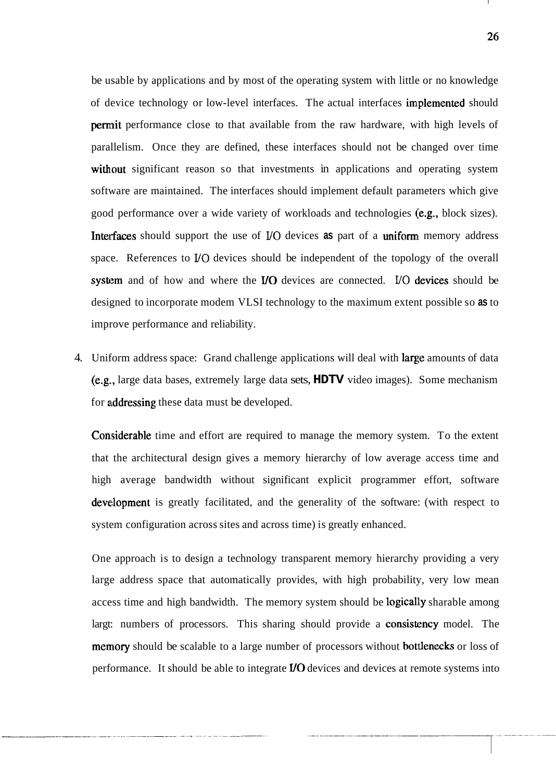be usable by applications and by most of the operating system with little or no knowledge of device technology or low-level interfaces. The actual interfaces implemented should **permit** performance close to that available from the raw hardware, with high levels of parallelism. Once they are defined, these interfaces should not be changed over time without significant reason so that investments in applications and operating system software are maintained. The interfaces should implement default parameters which give good performance over a wide variety of workloads and technologies (e.g., block sizes). Interfaces should support the use of I/O devices as part of a uniform memory address space. References to I/0 devices should be independent of the topology of the overall system and of how and where the I/O devices are connected. I/O devices should be designed to incorporate modem VLSI technology to the maximum extent possible so **as** to improve performance and reliability.

4. Uniform address space: Grand challenge applications will deal with **large** amounts of data (e.g., large data bases, extremely large data sets, **HDTV** video images). Some mechanism for addressing these data must be developed.

Considerable time and effort are required to manage the memory system. To the extent that the architectural design gives a memory hierarchy of low average access time and high average bandwidth without significant explicit programmer effort, software development is greatly facilitated, and the generality of the software: (with respect to system configuration across sites and across time) is greatly enhanced.

One approach is to design a technology transparent memory hierarchy providing a very large address space that automatically provides, with high probability, very low mean access time and high bandwidth. The memory system should be logically sharable among largt: numbers of processors. This sharing should provide a **consistency** model. The memory should be scalable to a large number of processors without **bottlenecks** or loss of performance. It should be able to integrate I/0 devices and devices at remote systems into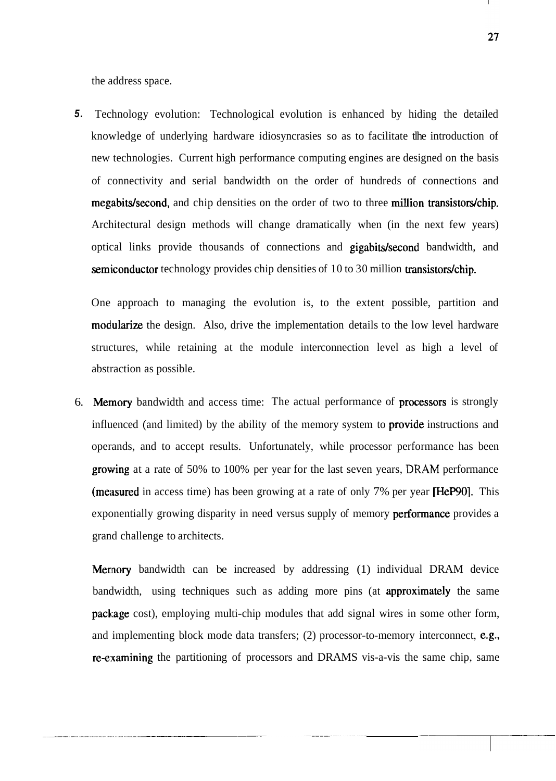the address space.

**5.** Technology evolution: Technological evolution is enhanced by hiding the detailed knowledge of underlying hardware idiosyncrasies so as to facilitate tlhe introduction of new technologies. Current high performance computing engines are designed on the basis of connectivity and serial bandwidth on the order of hundreds of connections and megabits/second, and chip densities on the order of two to three million transistors/chip. Architectural design methods will change dramatically when (in the next few years) optical links provide thousands of connections and **gigabits/second** bandwidth, and semiconductor technology provides chip densities of 10 to 30 million transistors/chip.

One approach to managing the evolution is, to the extent possible, partition and modularize the design. Also, drive the implementation details to the low level hardware structures, while retaining at the module interconnection level as high a level of abstraction as possible.

6. Memory bandwidth and access time: The actual performance of processors is strongly influenced (and limited) by the ability of the memory system to **provide** instructions and operands, and to accept results. Unfortunately, while processor performance has been growing at a rate of 50% to 100% per year for the last seven years, DRAM performance (measured in access time) has been growing at a rate of only 7% per year [HePgO]. This exponentially growing disparity in need versus supply of memory **performance** provides a grand challenge to architects.

Mennory bandwidth can be increased by addressing (1) individual DRAM device bandwidth, using techniques such as adding more pins (at **approximately** the same package cost), employing multi-chip modules that add signal wires in some other form, and implementing block mode data transfers; (2) processor-to-memory interconnect, e.g., re-examining the partitioning of processors and DRAMS vis-a-vis the same chip, same

27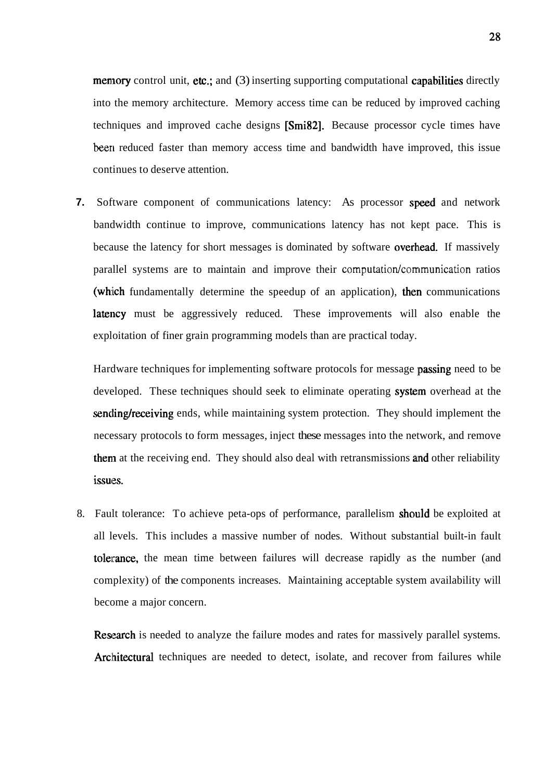**memory** control unit, **etc.**; and  $(3)$  inserting supporting computational **capabilities** directly into the memory architecture. Memory access time can be reduced by improved caching techniques and improved cache designs [Smi82]. Because processor cycle times have been reduced faster than memory access time and bandwidth have improved, this issue continues to deserve attention.

**7.** Software component of communications latency: As processor speed and network bandwidth continue to improve, communications latency has not kept pace. This is because the latency for short messages is dominated by software **overhead**. If massively parallel systems are to maintain and improve their computation/communication ratios (which fundamentally determine the speedup of an application), then communications latency must be aggressively reduced. These improvements will also enable the exploitation of finer grain programming models than are practical today.

Hardware techniques for implementing software protocols for message **passing** need to be developed. These techniques should seek to eliminate operating **system** overhead at the sending/receiving ends, while maintaining system protection. They should implement the necessary protocols to form messages, inject these messages into the network, and remove them at the receiving end. They should also deal with retransmissions and other reliability issues.

8. Fault tolerance: To achieve peta-ops of performance, parallelism should be exploited at all levels. This includes a massive number of nodes. Without substantial built-in fault tolerance, the mean time between failures will decrease rapidly as the number (and complexity) of the components increases. Maintaining acceptable system availability will become a major concern.

Research is needed to analyze the failure modes and rates for massively parallel systems. Architectural techniques are needed to detect, isolate, and recover from failures while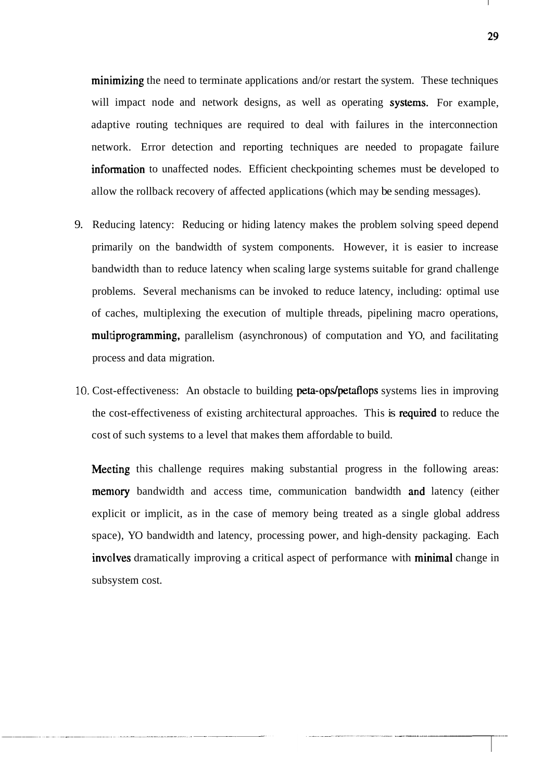$minimizing$  the need to terminate applications and/or restart the system. These techniques will impact node and network designs, as well as operating systems. For example, adaptive routing techniques are required to deal with failures in the interconnection network. Error detection and reporting techniques are needed to propagate failure information to unaffected nodes. Efficient checkpointing schemes must be developed to allow the rollback recovery of affected applications (which may be sending messages).

- 9. Reducing latency: Reducing or hiding latency makes the problem solving speed depend primarily on the bandwidth of system components. However, it is easier to increase bandwidth than to reduce latency when scaling large systems suitable for grand challenge problems. Several mechanisms can be invoked to reduce latency, including: optimal use of caches, multiplexing the execution of multiple threads, pipelining macro operations, mulitiprograrnming, parallelism (asynchronous) of computation and YO, and facilitating process and data migration.
- 10. Cost-effectiveness: An obstacle to building peta-ops/petaflops systems lies in improving the cost-effectiveness of existing architectural approaches. This is required to reduce the cost of such systems to a level that makes them affordable to build.

Meeting this challenge requires making substantial progress in the following areas: memory bandwidth and access time, communication bandwidth and latency (either explicit or implicit, as in the case of memory being treated as a single global address space), YO bandwidth and latency, processing power, and high-density packaging. Each involves dramatically improving a critical aspect of performance with **minimal** change in subsystem cost.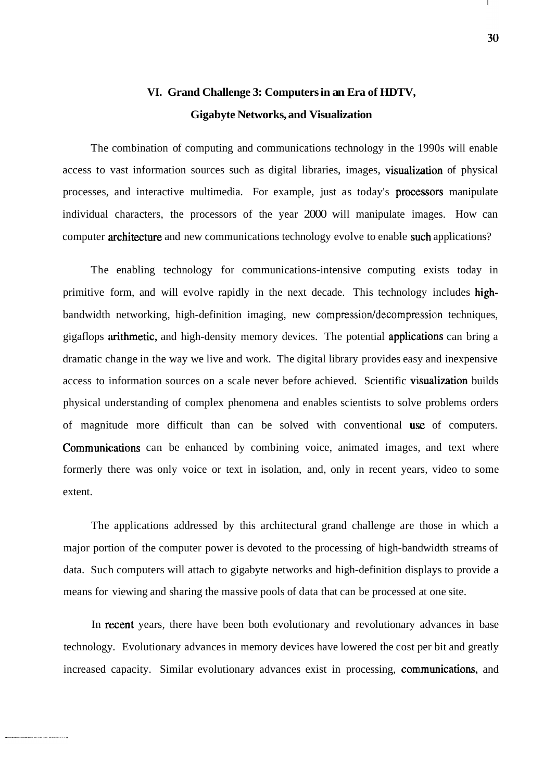## **VI. Grand Challenge 3: Computers in an Era of HDTV, Gigabyte Networks, and Visualization**

The combination of computing and communications technology in the 1990s will enable access to vast information sources such as digital libraries, images, visualization of physical processes, and interactive multimedia. For example, just as today's processors manipulate individual characters, the processors of the year 2000 will manipulate images. How can computer **architecture** and new communications technology evolve to enable such applications?

The enabling technology for communications-intensive computing exists today in primitive form, and will evolve rapidly in the next decade. This technology includes highbandwidth networking, high-definition imaging, new **compression/decomprr:ssion** techniques, gigaflops arithmetic, and high-density memory devices. The potential applications can bring a dramatic change in the way we live and work. The digital library provides easy and inexpensive access to information sources on a scale never before achieved. Scientific visualization builds physical understanding of complex phenomena and enables scientists to solve problems orders of magnitude more difficult than can be solved with conventional use of computers. Communications can be enhanced by combining voice, animated images, and text where formerly there was only voice or text in isolation, and, only in recent years, video to some extent.

The applications addressed by this architectural grand challenge are those in which a major portion of the computer power is devoted to the processing of high-bandwidth streams of data. Such computers will attach to gigabyte networks and high-definition displays to provide a means for viewing and sharing the massive pools of data that can be processed at one site.

In recent years, there have been both evolutionary and revolutionary advances in base technology. Evolutionary advances in memory devices have lowered the cost per bit and greatly increased capacity. Similar evolutionary advances exist in processing, communications, and

 $\mathbf{L}$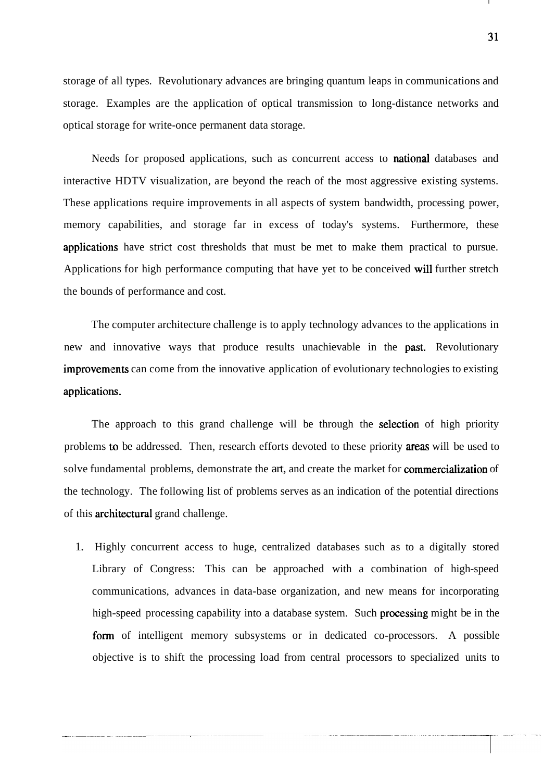storage of all types. Revolutionary advances are bringing quantum leaps in communications and storage. Examples are the application of optical transmission to long-distance networks and optical storage for write-once permanent data storage.

Needs for proposed applications, such as concurrent access to **national** databases and interactive HDTV visualization, are beyond the reach of the most aggressive existing systems. These applications require improvements in all aspects of system bandwidth, processing power, memory capabilities, and storage far in excess of today's systems. Furthermore, these applications have strict cost thresholds that must be met to make them practical to pursue. Applications for high performance computing that have yet to be conceived will further stretch the bounds of performance and cost.

The computer architecture challenge is to apply technology advances to the applications in new and innovative ways that produce results unachievable in the past. Revolutionary improvements can come from the innovative application of evolutionary technologies to existing applications.

The approach to this grand challenge will be through the **selection** of high priority problems to be addressed. Then, research efforts devoted to these priority areas will be used to solve fundamental problems, demonstrate the art, and create the market for **commercialization** of the technology. The following list of problems serves as an indication of the potential directions of this **architectural** grand challenge.

1. Highly concurrent access to huge, centralized databases such as to a digitally stored Library of Congress: This can be approached with a combination of high-speed communications, advances in data-base organization, and new means for incorporating high-speed processing capability into a database system. Such **processing** might be in the form of intelligent memory subsystems or in dedicated co-processors. A possible objective is to shift the processing load from central processors to specialized units to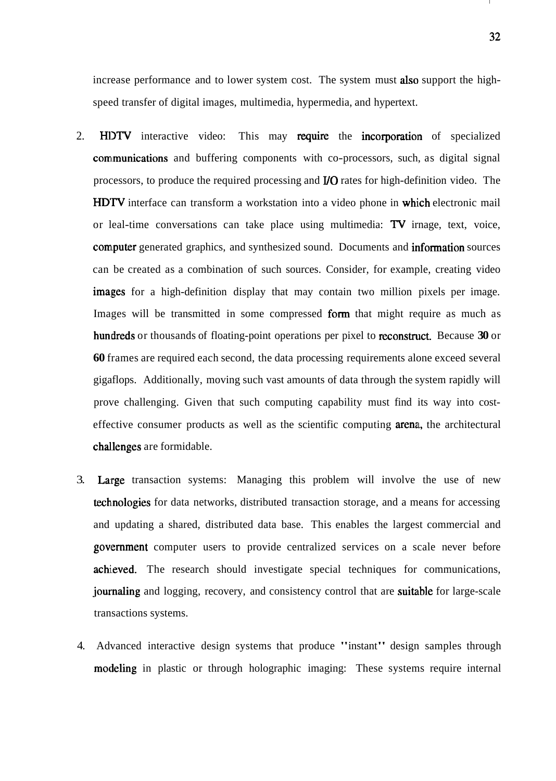increase performance and to lower system cost. The system must **also** support the highspeed transfer of digital images, multimedia, hypermedia, and hypertext.

- 2. HDTV interactive video: This may require the incorporation of specialized communications and buffering components with co-processors, such, as digital signal processors, to produce the required processing and **110** rates for high-definition video. The HDTV interface can transform a workstation into a video phone in which electronic mail or leal-time conversations can take place using multimedia: TV irnage, text, voice, computer generated graphics, and synthesized sound. Documents and information sources can be created as a combination of such sources. Consider, for example, creating video images for a high-definition display that may contain two million pixels per image. Images will be transmitted in some compressed form that might require as much as hundreds or thousands of floating-point operations per pixel to reconstruct. Because 30 or **60** frames are required each second, the data processing requirements alone exceed several gigaflops. Additionally, moving such vast amounts of data through the system rapidly will prove challenging. Given that such computing capability must find its way into costeffective consumer products as well as the scientific computing arena, the architectural challenges are formidable.
- 3. Large transaction systems: Managing this problem will involve the use of new technologies for data networks, distributed transaction storage, and a means for accessing and updating a shared, distributed data base. This enables the largest commercial and government computer users to provide centralized services on a scale never before achieved. The research should investigate special techniques for communications, journaling and logging, recovery, and consistency control that are suitable for large-scale transactions systems.
- 4. Advanced interactive design systems that produce "instant" design samples through modeling in plastic or through holographic imaging: These systems require internal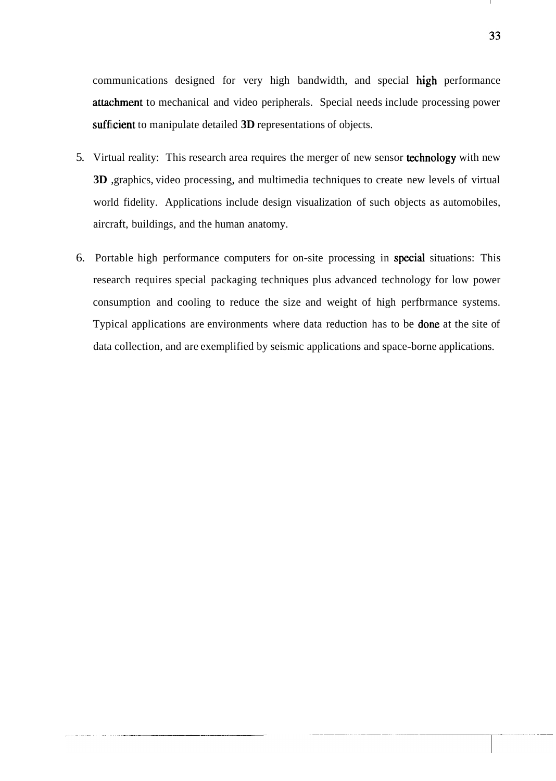communications designed for very high bandwidth, and special high performance attachment to mechanical and video peripherals. Special needs include processing power sufficient to manipulate detailed **3D** representations of objects.

- 5. Virtual reality: This research area requires the merger of new sensor technology with new **3D** ,graphics, video processing, and multimedia techniques to create new levels of virtual world fidelity. Applications include design visualization of such objects as automobiles, aircraft, buildings, and the human anatomy.
- 6. Portable high performance computers for on-site processing in specid situations: This research requires special packaging techniques plus advanced technology for low power consumption and cooling to reduce the size and weight of high perfbrmance systems. Typical applications are environments where data reduction has to be **done** at the site of data collection, and are exemplified by seismic applications and space-borne applications.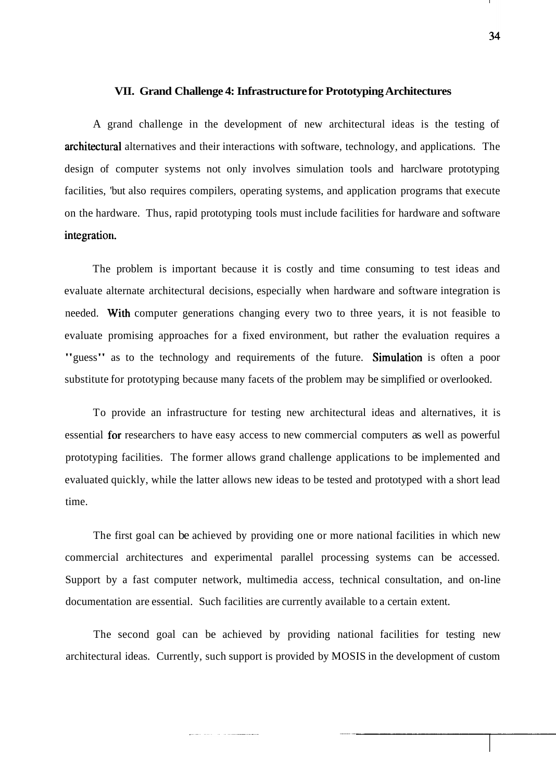#### **VII. Grand Challenge 4: Infrastructure for Prototyping Architectures**

A grand challenge in the development of new architectural ideas is the testing of architectural alternatives and their interactions with software, technology, and applications. The design of computer systems not only involves simulation tools and harclware prototyping facilities, 'but also requires compilers, operating systems, and application programs that execute on the hardware. Thus, rapid prototyping tools must include facilities for hardware and software integration.

The problem is important because it is costly and time consuming to test ideas and evaluate alternate architectural decisions, especially when hardware and software integration is needed. With computer generations changing every two to three years, it is not feasible to evaluate promising approaches for a fixed environment, but rather the evaluation requires a "guess" as to the technology and requirements of the future. Simulation is often a poor substitute for prototyping because many facets of the problem may be simplified or overlooked.

To provide an infrastructure for testing new architectural ideas and alternatives, it is essential for researchers to have easy access to new commercial computers as well as powerful prototyping facilities. The former allows grand challenge applications to be implemented and evaluated quickly, while the latter allows new ideas to be tested and prototyped with a short lead time.

The first goal can be achieved by providing one or more national facilities in which new commercial architectures and experimental parallel processing systems can be accessed. Support by a fast computer network, multimedia access, technical consultation, and on-line documentation are essential. Such facilities are currently available to a certain extent.

The second goal can be achieved by providing national facilities for testing new architectural ideas. Currently, such support is provided by MOSIS in the development of custom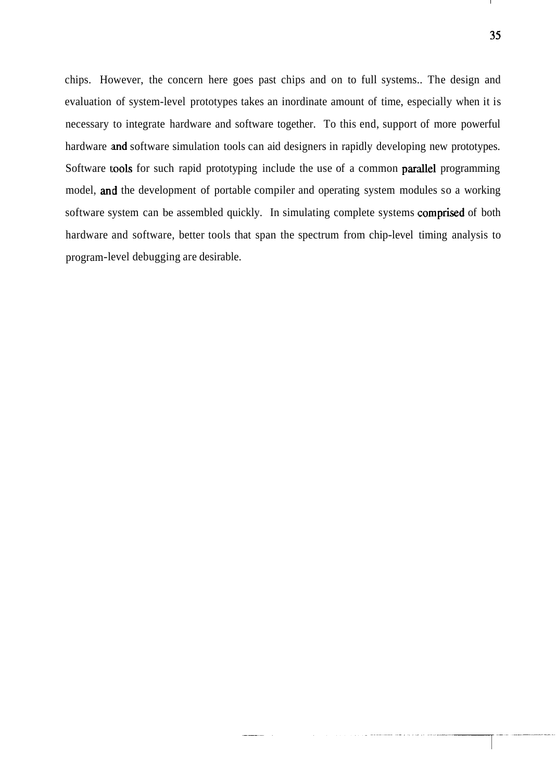chips. However, the concern here goes past chips and on to full systems.. The design and evaluation of system-level prototypes takes an inordinate amount of time, especially when it is necessary to integrate hardware and software together. To this end, support of more powerful hardware and software simulation tools can aid designers in rapidly developing new prototypes. Software tools for such rapid prototyping include the use of a common parallel programming model, and the development of portable compiler and operating system modules so a working software system can be assembled quickly. In simulating complete systems comprised of both hardware and software, better tools that span the spectrum from chip-level timing analysis to program-level debugging are desirable.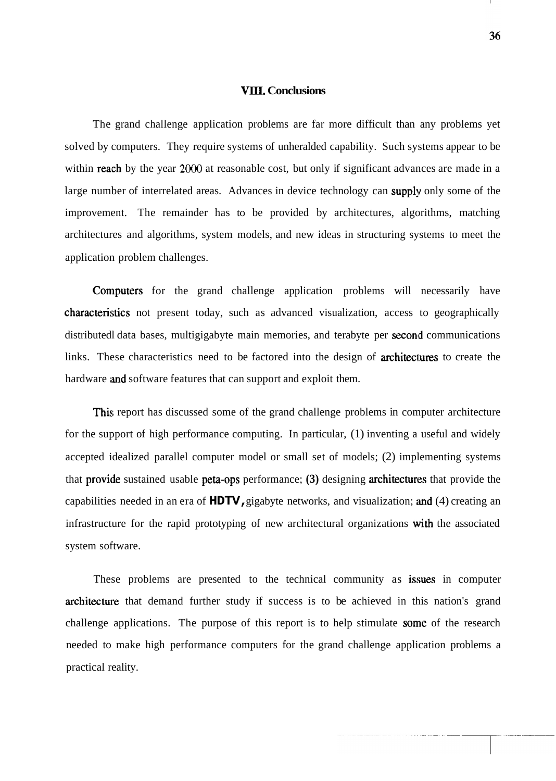#### **VIII. Conclusions**

The grand challenge application problems are far more difficult than any problems yet solved by computers. They require systems of unheralded capability. Such systems appear to be within **reach** by the year 2000 at reasonable cost, but only if significant advances are made in a large number of interrelated areas. Advances in device technology can supply only some of the improvement. The remainder has to be provided by architectures, algorithms, matching architectures and algorithms, system models, and new ideas in structuring systems to meet the application problem challenges.

Computers for the grand challenge application problems will necessarily have characteristics not present today, such as advanced visualization, access to geographically distributedl data bases, multigigabyte main memories, and terabyte per second communications links. These characteristics need to be factored into the design of **architectures** to create the hardware and software features that can support and exploit them.

This report has discussed some of the grand challenge problems in computer architecture for the support of high performance computing. In particular, (1) inventing a useful and widely accepted idealized parallel computer model or small set of models; (2) implementing systems that provide sustained usable peta-ops performance;  $(3)$  designing architectures that provide the capabilities needed in an era of **HDTV,** gigabyte networks, and visualization; and (4) creating an infrastructure for the rapid prototyping of new architectural organizations with the associated system software.

These problems are presented to the technical community as issues in computer architecture that demand further study if success is to be achieved in this nation's grand challenge applications. The purpose of this report is to help stimulate some of the research needed to make high performance computers for the grand challenge application problems a practical reality.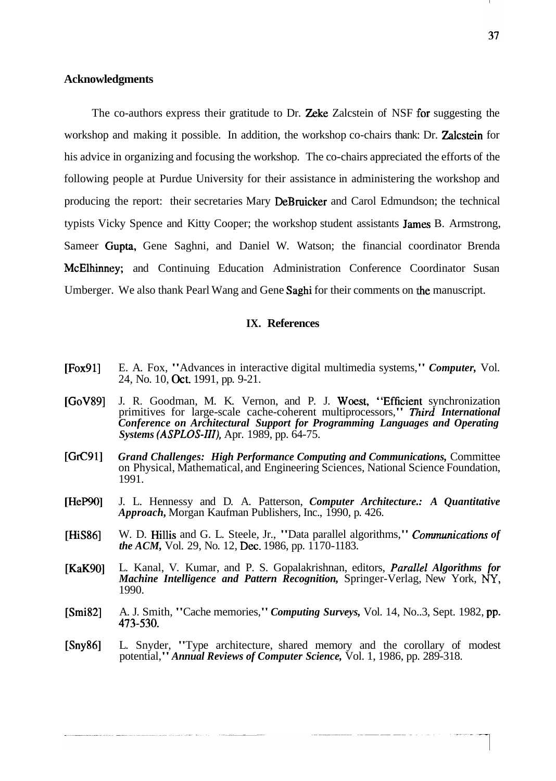#### **Acknowledgments**

The co-authors express their gratitude to Dr. **Zeke** Zalcstein of NSF for suggesting the workshop and making it possible. In addition, the workshop co-chairs thank: Dr. **Zalcstein** for his advice in organizing and focusing the workshop. The co-chairs appreciated the efforts of the following people at Purdue University for their assistance in administering the workshop and producing the report: their secretaries Mary DeBruicker and Carol Edmundson; the technical typists Vicky Spence and Kitty Cooper; the workshop student assistants **James** B. Armstrong, Sameer Ciupta, Gene Saghni, and Daniel W. Watson; the financial coordinator Brenda McElhinney; and Continuing Education Administration Conference Coordinator Susan Umberger. We also thank Pearl Wang and Gene Saghi for their comments on the manuscript.

#### **IX. References**

- [Fox911 E. A. Fox, "Advances in interactive digital multimedia systems," *Computer,* Vol. 24, No. 10, Oct. 1991, pp. 9-21.
- [GoV89] J. R. Goodman, M. K. Vernon, and P. J. Woest, "Efficient synchronization primitives for large-scale cache-coherent multiprocessors," Third International *Conference on Architectural Support for Programming Languages and Operating Systems (ASPLOS-III),* Apr. 1989, pp. 64-75.
- [GrC91] *Grand Challenges: High Performance Computing and Communications,* Committee on Physical, Mathematical, and Engineering Sciences, National Science Foundation, 1991.
- [HeP90] J. L. Hennessy and D. A. Patterson, *Computer Architecture.: A Quantitative Approach,* Morgan Kaufman Publishers, Inc., 1990, p. 426.
- [HiS86] W. D. Hillis and G. L. Steele, Jr., "Data parallel algorithms," *Communications of the ACM, Vol. 29, No. 12, Dec. 1986, pp. 1170-1183.*
- [KaK90] L. Kanal, V. Kumar, and P. S. Gopalakrishnan, editors, *Parallel Algorithms for Machine Intelligence and Pattern Recognition,* Springer-Verlag, New York, **NY,**  1990.
- [Smi82] A. J. Smith, "Cache memories," *Computing Surveys*, Vol. 14, No..3, Sept. 1982, pp. 473-530.
- [Sny86] L. Snyder, "Type architecture, shared memory and the corollary of modest potential," *Annual Reviews of Computer Science,* Vol. 1, 1986, pp. 289-318.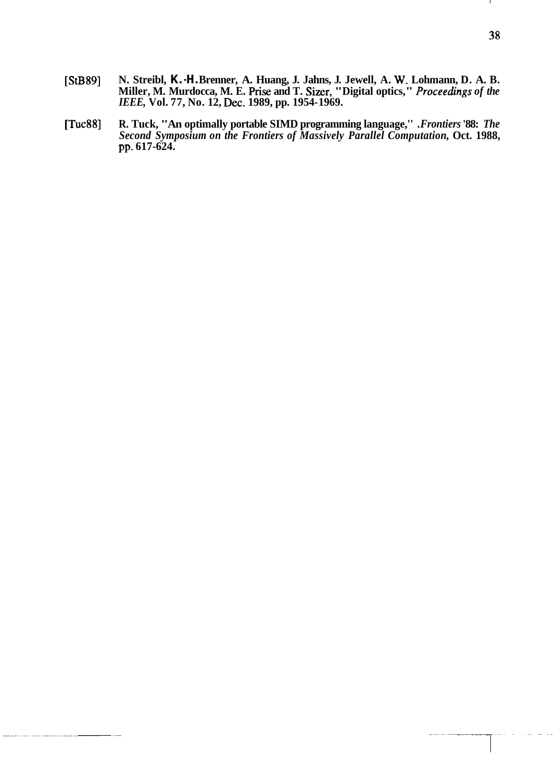- **[StB89] N. Streibl, K.-H. Brenner, A. Huang, J. Jahns, J. Jewell, A. W. Lohmann, D. A. B. Miller, M. Murdocca, M. E. Prise and T. Sizer, "Digital optics,"** *proceedings of the IEEE,* **Vol. 77, No. 12, Dec. 1989, pp. 1954- 1969.**
- **[Tuc88] R. Tuck, "An optimally portable SIMD programming language,''** *.Frontiers* **'88:** *The Second Symposium on the Frontiers of Massively Parallel Computation,* **Oct. 1988, pp. 617-624.**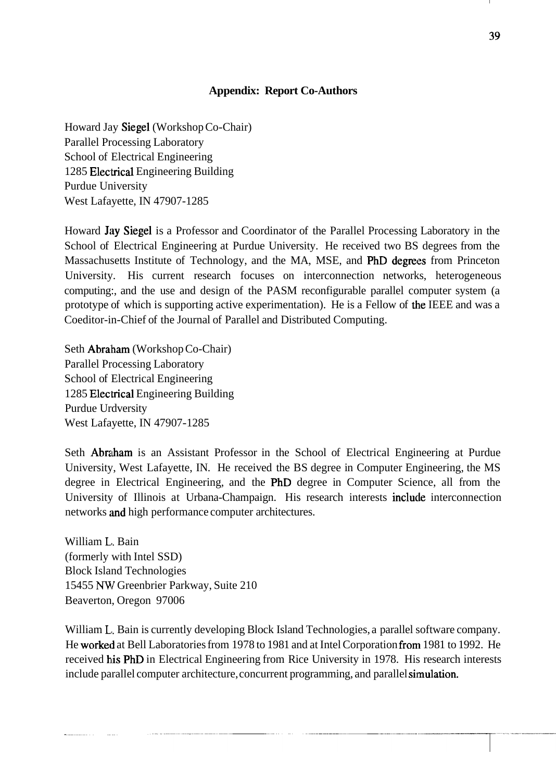## **Appendix: Report Co-Authors**

Howard Jay Siegel (Workshop Co-Chair) Parallel Processing Laboratory School of Electrical Engineering 1285 Electrical Engineering Building Purdue University West Lafayette, IN 47907-1285

Howard Jay Siegel is a Professor and Coordinator of the Parallel Processing Laboratory in the School of Electrical Engineering at Purdue University. He received two BS degrees from the Massachusetts Institute of Technology, and the MA, MSE, and PhD degrees from Princeton University. His current research focuses on interconnection networks, heterogeneous computing:, and the use and design of the PASM reconfigurable parallel computer system (a prototype of which is supporting active experimentation). He is a Fellow of the IEEE and was a Coeditor-in-Chief of the Journal of Parallel and Distributed Computing.

Seth Abraham (Workshop Co-Chair) Parallel Processing Laboratory School of Electrical Engineering 1285 Electrical Engineering Building Purdue Urdversity West Lafayette, IN 47907-1285

Seth Abraham is an Assistant Professor in the School of Electrical Engineering at Purdue University, West Lafayette, IN. He received the BS degree in Computer Engineering, the MS degree in Electrical Engineering, and the PhD degree in Computer Science, all from the University of Illinois at Urbana-Champaign. His research interests **include** interconnection networks and high performance computer architectures.

William **L,.** Bain (formerly with Intel SSD) Block Island Technologies 15455 **NV!** Greenbrier Parkway, Suite 210 Beaverton, Oregon 97006

William L. Bain is currently developing Block Island Technologies, a parallel software company. He worked at Bell Laboratories from 1978 to 1981 and at Intel Corporation from 1981 to 1992. He received his PhD in Electrical Engineering from Rice University in 1978. His research interests include parallel computer architecture, concurrent programming, and parallel simulation.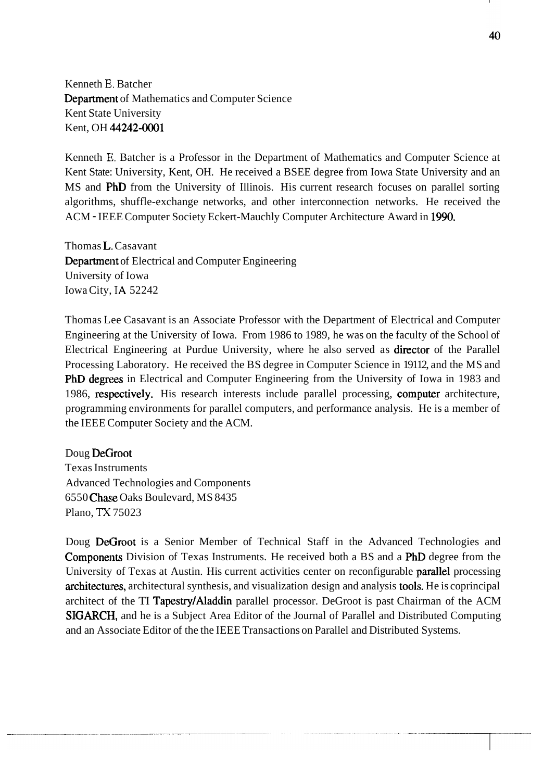Kenneth **B.** Batcher Department of Mathematics and Computer Science Kent State University Kent, OH 44242-0001

Kenneth **El.** Batcher is a Professor in the Department of Mathematics and Computer Science at Kent State: University, Kent, OH. He received a BSEE degree from Iowa State University and an MS and PhD from the University of Illinois. His current research focuses on parallel sorting algorithms, shuffle-exchange networks, and other interconnection networks. He received the ACM - IEEE Computer Society Eckert-Mauchly Computer Architecture Award in 1990.

Thomas L. Casavant Department of Electrical and Computer Engineering University of Iowa Iowa City, **IA** 52242

Thomas Lee Casavant is an Associate Professor with the Department of Electrical and Computer Engineering at the University of Iowa. From 1986 to 1989, he was on the faculty of the School of Electrical Engineering at Purdue University, where he also served as director of the Parallel Processing Laboratory. He received the BS degree in Computer Science in 19112, and the MS and PhD degrees in Electrical and Computer Engineering from the University of Iowa in 1983 and 1986, respectively. His research interests include parallel processing, computer architecture, programming environments for parallel computers, and performance analysis. He is a member of the IEEE Computer Society and the ACM.

Doug DeCiroot Texas Instruments Advanced Technologies and Components 6550 Chase Oaks Boulevard, MS 8435 Plano, **TX** 75023

Doug DeGroot is a Senior Member of Technical Staff in the Advanced Technologies and Components Division of Texas Instruments. He received both a BS and a PhD degree from the University of Texas at Austin. His current activities center on reconfigurable parallel processing architectures, architectural synthesis, and visualization design and analysis tools. He is coprincipal architect of the TI Tapestry/Aladdin parallel processor. DeGroot is past Chairman of the ACM SIGARCH, and he is a Subject Area Editor of the Journal of Parallel and Distributed Computing and an Associate Editor of the the IEEE Transactions on Parallel and Distributed Systems.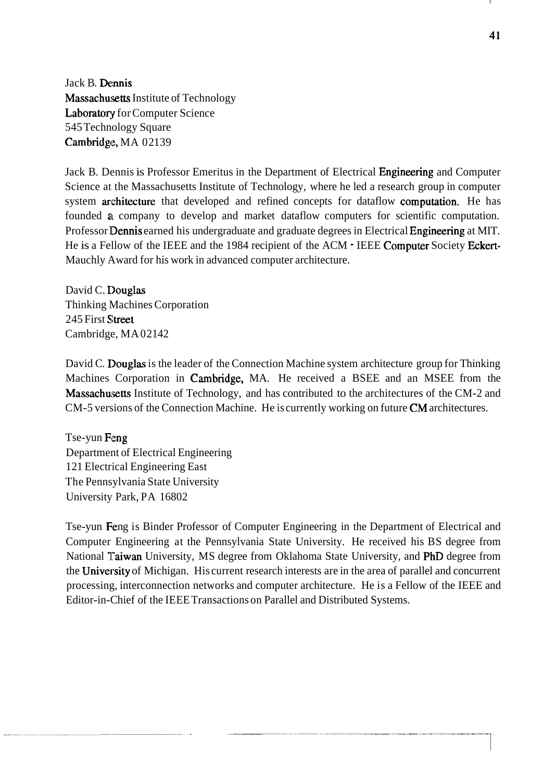Jack B. Dennis Massachusetts Institute of Technology Laboratory for Computer Science 545 Technology Square Cambridge, MA 02139

Jack B. Dennis is Professor Emeritus in the Department of Electrical Engineering and Computer Science at the Massachusetts Institute of Technology, where he led a research group in computer system architecture that developed and refined concepts for dataflow computation. He has founded a company to develop and market dataflow computers for scientific computation. Professor Dennis earned his undergraduate and graduate degrees in Electrical Engineering at MIT. He is a Fellow of the IEEE and the 1984 recipient of the ACM - IEEE Computer Society Eckert-Mauchly Award for his work in advanced computer architecture.

David C. Douglas Thinking Machines Corporation 245 First Street Cambridge, MA 02142

David C. Douglas is the leader of the Connection Machine system architecture group for Thinking Machines Corporation in Cambridge, MA. He received a BSEE and an MSEE from the Massachusetts Institute of Technology, and has contributed to the architectures of the CM-2 and CM-5 versions of the Connection Machine. He is currently working on future CM architectures.

Tse-yun Feng Department of Electrical Engineering 121 Electrical Engineering East The Pennsylvania State University University Park, PA 16802

Tse-yun Feng is Binder Professor of Computer Engineering in the Department of Electrical and Computer Engineering at the Pennsylvania State University. He received his BS degree from National Taiwan University, MS degree from Oklahoma State University, and PhD degree from the University of Michigan. His current research interests are in the area of parallel and concurrent processing, interconnection networks and computer architecture. He is a Fellow of the IEEE and Editor-in-Chief of the IEEE Transactions on Parallel and Distributed Systems.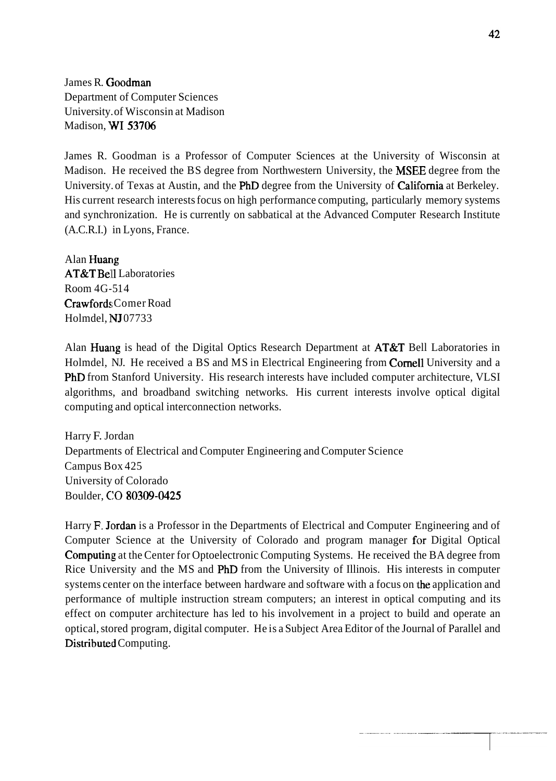James R. Goodman Department of Computer Sciences University. of Wisconsin at Madison Madison, WI 53706

James R. Goodman is a Professor of Computer Sciences at the University of Wisconsin at Madison. He received the BS degree from Northwestern University, the **MSEE** degree from the University. of Texas at Austin, and the PhD degree from the University of California at Berkeley. His current research interests focus on high performance computing, particularly memory systems and synchronization. He is currently on sabbatical at the Advanced Computer Research Institute (A.C.R.I.) in Lyons, France.

Alan Huang AT&T Bell Laboratories Room 4G-5 14 Crawfords; Comer Road Holmdel, IVJ 07733

Alan Huang is head of the Digital Optics Research Department at  $AT&T$  Bell Laboratories in Holmdel, NJ. He received a BS and MS in Electrical Engineering from **Cornell** University and a PhD from Stanford University. His research interests have included computer architecture, VLSI algorithms, and broadband switching networks. His current interests involve optical digital computing and optical interconnection networks.

Harry F. Jordan Departments of Electrical and Computer Engineering and Computer Science Campus Box 425 University of Colorado Boulder, **C10** 80309-0425

Harry F. **Jordan** is a Professor in the Departments of Electrical and Computer Engineering and of Computer Science at the University of Colorado and program manager for Digital Optical Computing at the Center for Optoelectronic Computing Systems. He received the BA degree from Rice University and the MS and PhD from the University of Illinois. His interests in computer systems center on the interface between hardware and software with a focus on the application and performance of multiple instruction stream computers; an interest in optical computing and its effect on computer architecture has led to his involvement in a project to build and operate an optical, stored program, digital computer. He is a Subject Area Editor of the Journal of Parallel and Distributed Computing.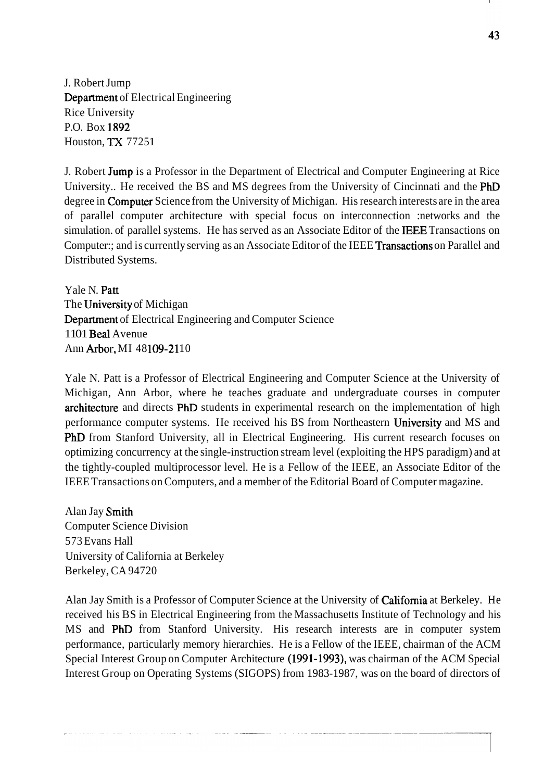J. Robert Jump Department of Electrical Engineering Rice University P.O. Box 1892 Houston, TX 77251

J. Robert Jump is a Professor in the Department of Electrical and Computer Engineering at Rice University.. He received the BS and MS degrees from the University of Cincinnati and the PhD degree in **Computer** Science from the University of Michigan. His research interests are in the area of parallel computer architecture with special focus on interconnection :networks and the simulation. of parallel systems. He has served as an Associate Editor of the **IEEE** Transactions on Computer:; and is currently serving as an Associate Editor of the IEEE Transactions on Parallel and Distributed Systems.

Yale N. Patt The University of Michigan Department of Electrical Engineering and Computer Science 1101 Beal Avenue Ann Arbor, MI 48109-2110

Yale N. Patt is a Professor of Electrical Engineering and Computer Science at the University of Michigan, Ann Arbor, where he teaches graduate and undergraduate courses in computer architecture and directs PhD students in experimental research on the implementation of high performance computer systems. He received his BS from Northeastern University and MS and PhD from Stanford University, all in Electrical Engineering. His current research focuses on optimizing concurrency at the single-instruction stream level (exploiting the HPS paradigm) and at the tightly-coupled multiprocessor level. He is a Fellow of the IEEE, an Associate Editor of the IEEE Transactions on Computers, and a member of the Editorial Board of Computer magazine.

Alan Jay Smith Computer Science Division 573 Evans Hall University of California at Berkeley Berkeley, CA 94720

Alan Jay Smith is a Professor of Computer Science at the University of California at Berkeley. He received his BS in Electrical Engineering from the Massachusetts Institute of Technology and his MS and PhD from Stanford University. His research interests are in computer system performance, particularly memory hierarchies. He is a Fellow of the IEEE, chairman of the ACM Special Interest Group on Computer Architecture (1991-1993), was chairman of the ACM Special Interest Group on Operating Systems (SIGOPS) from 1983-1987, was on the board of directors of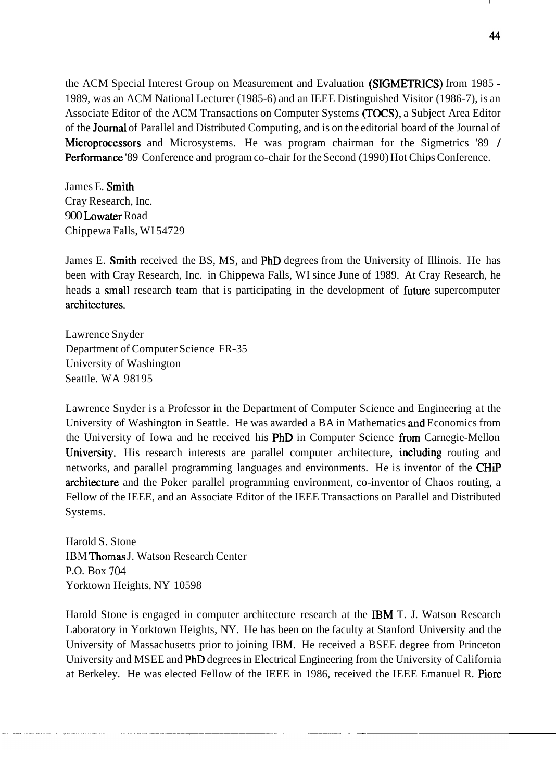the ACM Special Interest Group on Measurement and Evaluation (SIGMETRICS) from 1985 -1989, was an ACM National Lecturer (1985-6) and an IEEE Distinguished Visitor (1986-7), is an Associate Editor of the ACM Transactions on Computer Systems (TOCS), a Subject Area Editor of the **Journal** of Parallel and Distributed Computing, and is on the editorial board of the Journal of Microprocessors and Microsystems. He was program chairman for the Sigmetrics '89 / Performance '89 Conference and program co-chair for the Second (1990) Hot Chips Conference.

James E. Smith Cray Research, Inc. 900 Lowater Road Chippewa Falls, WI 54729

James E. Smith received the BS, MS, and PhD degrees from the University of Illinois. He has been with Cray Research, Inc. in Chippewa Falls, WI since June of 1989. At Cray Research, he heads a small research team that is participating in the development of future supercomputer architectuires.

Lawrence Snyder Department of Computer Science FR-35 University of Washington Seattle. WA 98195

Lawrence Snyder is a Professor in the Department of Computer Science and Engineering at the University of Washington in Seattle. He was awarded a BA in Mathematics and Economics from the University of Iowa and he received his PhD in Computer Science from Carnegie-Mellon University. His research interests are parallel computer architecture, including routing and networks, and parallel programming languages and environments. He is inventor of the CHiP architecture and the Poker parallel programming environment, co-inventor of Chaos routing, a Fellow of the IEEE, and an Associate Editor of the IEEE Transactions on Parallel and Distributed Systems.

Harold S. Stone IBM Thornas J. Watson Research Center P.O. Box **'704**  Yorktown Heights, NY 10598

Harold Stone is engaged in computer architecture research at the IBM T. J. Watson Research Laboratory in Yorktown Heights, NY. He has been on the faculty at Stanford University and the University of Massachusetts prior to joining IBM. He received a BSEE degree from Princeton University and MSEE and PhD degrees in Electrical Engineering from the University of California at Berkeley. He was elected Fellow of the IEEE in 1986, received the IEEE Emanuel R. Piore